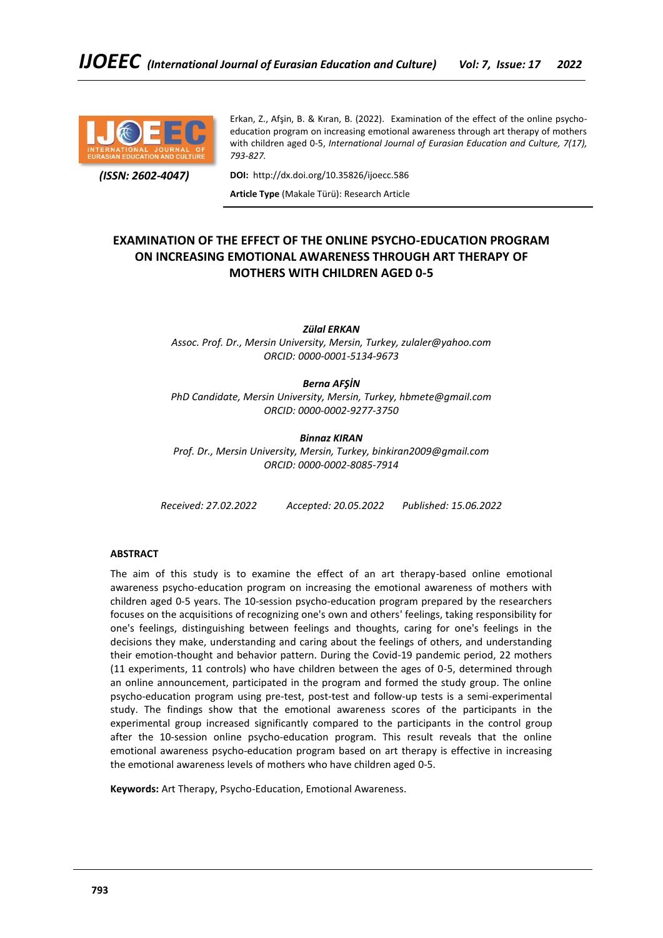

Erkan, Z., Afşin, B. & Kıran, B. (2022). Examination of the effect of the online psychoeducation program on increasing emotional awareness through art therapy of mothers with children aged 0-5, *International Journal of Eurasian Education and Culture, 7(17), 793-827.*

 *(ISSN: 2602-4047)*

**DOI:** http://dx.doi.org/10.35826/ijoecc.586

**Article Type** (Makale Türü): Research Article

# **EXAMINATION OF THE EFFECT OF THE ONLINE PSYCHO-EDUCATION PROGRAM ON INCREASING EMOTIONAL AWARENESS THROUGH ART THERAPY OF MOTHERS WITH CHILDREN AGED 0-5**

*Zülal ERKAN*

*Assoc. Prof. Dr., Mersin University, Mersin, Turkey, zulaler@yahoo.com ORCID: 0000-0001-5134-9673*

# *Berna AFŞİN*

*PhD Candidate, Mersin University, Mersin, Turkey, hbmete@gmail.com ORCID: 0000-0002-9277-3750*

*Binnaz KIRAN Prof. Dr., Mersin University, Mersin, Turkey, binkiran2009@gmail.com ORCID: 0000-0002-8085-7914*

*Received: 27.02.2022 Accepted: 20.05.2022 Published: 15.06.2022*

# **ABSTRACT**

The aim of this study is to examine the effect of an art therapy-based online emotional awareness psycho-education program on increasing the emotional awareness of mothers with children aged 0-5 years. The 10-session psycho-education program prepared by the researchers focuses on the acquisitions of recognizing one's own and others' feelings, taking responsibility for one's feelings, distinguishing between feelings and thoughts, caring for one's feelings in the decisions they make, understanding and caring about the feelings of others, and understanding their emotion-thought and behavior pattern. During the Covid-19 pandemic period, 22 mothers (11 experiments, 11 controls) who have children between the ages of 0-5, determined through an online announcement, participated in the program and formed the study group. The online psycho-education program using pre-test, post-test and follow-up tests is a semi-experimental study. The findings show that the emotional awareness scores of the participants in the experimental group increased significantly compared to the participants in the control group after the 10-session online psycho-education program. This result reveals that the online emotional awareness psycho-education program based on art therapy is effective in increasing the emotional awareness levels of mothers who have children aged 0-5.

**Keywords:** Art Therapy, Psycho-Education, Emotional Awareness.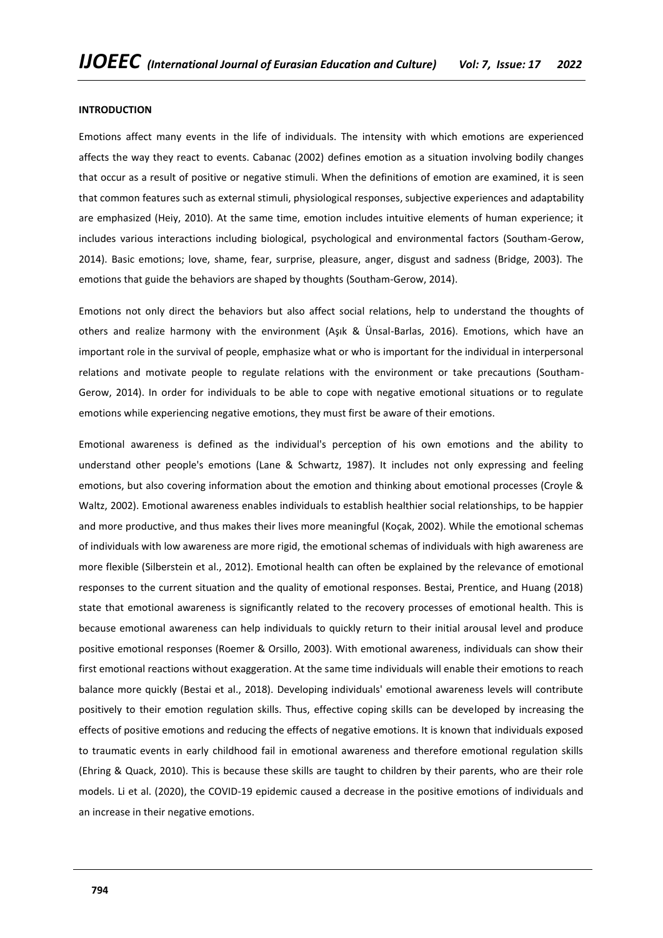### **INTRODUCTION**

Emotions affect many events in the life of individuals. The intensity with which emotions are experienced affects the way they react to events. Cabanac (2002) defines emotion as a situation involving bodily changes that occur as a result of positive or negative stimuli. When the definitions of emotion are examined, it is seen that common features such as external stimuli, physiological responses, subjective experiences and adaptability are emphasized (Heiy, 2010). At the same time, emotion includes intuitive elements of human experience; it includes various interactions including biological, psychological and environmental factors (Southam-Gerow, 2014). Basic emotions; love, shame, fear, surprise, pleasure, anger, disgust and sadness (Bridge, 2003). The emotions that guide the behaviors are shaped by thoughts (Southam-Gerow, 2014).

Emotions not only direct the behaviors but also affect social relations, help to understand the thoughts of others and realize harmony with the environment (Aşık & Ünsal-Barlas, 2016). Emotions, which have an important role in the survival of people, emphasize what or who is important for the individual in interpersonal relations and motivate people to regulate relations with the environment or take precautions (Southam-Gerow, 2014). In order for individuals to be able to cope with negative emotional situations or to regulate emotions while experiencing negative emotions, they must first be aware of their emotions.

Emotional awareness is defined as the individual's perception of his own emotions and the ability to understand other people's emotions (Lane & Schwartz, 1987). It includes not only expressing and feeling emotions, but also covering information about the emotion and thinking about emotional processes (Croyle & Waltz, 2002). Emotional awareness enables individuals to establish healthier social relationships, to be happier and more productive, and thus makes their lives more meaningful (Koçak, 2002). While the emotional schemas of individuals with low awareness are more rigid, the emotional schemas of individuals with high awareness are more flexible (Silberstein et al., 2012). Emotional health can often be explained by the relevance of emotional responses to the current situation and the quality of emotional responses. Bestai, Prentice, and Huang (2018) state that emotional awareness is significantly related to the recovery processes of emotional health. This is because emotional awareness can help individuals to quickly return to their initial arousal level and produce positive emotional responses (Roemer & Orsillo, 2003). With emotional awareness, individuals can show their first emotional reactions without exaggeration. At the same time individuals will enable their emotions to reach balance more quickly (Bestai et al., 2018). Developing individuals' emotional awareness levels will contribute positively to their emotion regulation skills. Thus, effective coping skills can be developed by increasing the effects of positive emotions and reducing the effects of negative emotions. It is known that individuals exposed to traumatic events in early childhood fail in emotional awareness and therefore emotional regulation skills (Ehring & Quack, 2010). This is because these skills are taught to children by their parents, who are their role models. Li et al. (2020), the COVID-19 epidemic caused a decrease in the positive emotions of individuals and an increase in their negative emotions.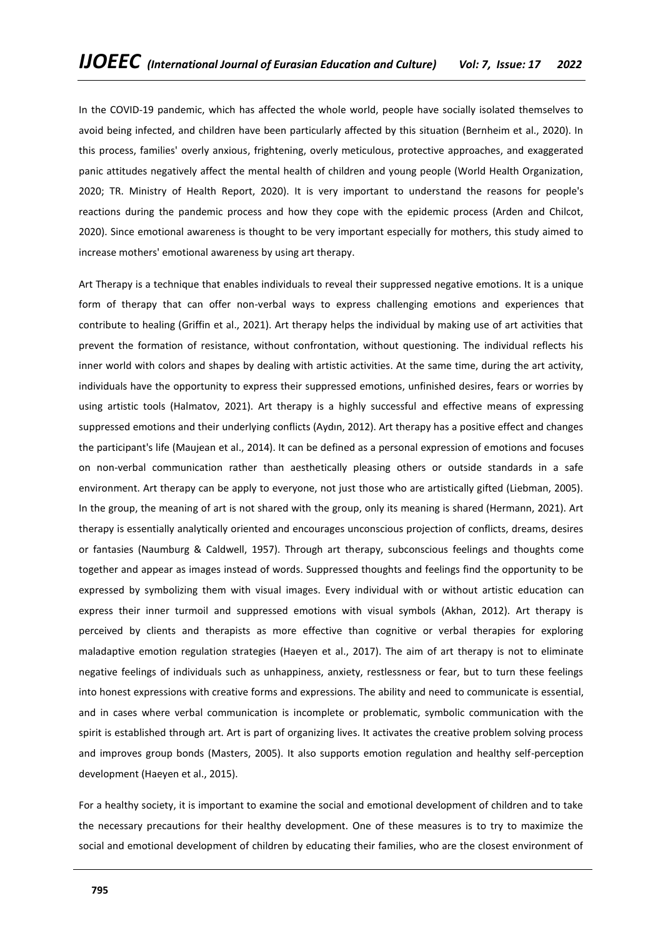In the COVID-19 pandemic, which has affected the whole world, people have socially isolated themselves to avoid being infected, and children have been particularly affected by this situation (Bernheim et al., 2020). In this process, families' overly anxious, frightening, overly meticulous, protective approaches, and exaggerated panic attitudes negatively affect the mental health of children and young people (World Health Organization, 2020; TR. Ministry of Health Report, 2020). It is very important to understand the reasons for people's reactions during the pandemic process and how they cope with the epidemic process (Arden and Chilcot, 2020). Since emotional awareness is thought to be very important especially for mothers, this study aimed to increase mothers' emotional awareness by using art therapy.

Art Therapy is a technique that enables individuals to reveal their suppressed negative emotions. It is a unique form of therapy that can offer non-verbal ways to express challenging emotions and experiences that contribute to healing (Griffin et al., 2021). Art therapy helps the individual by making use of art activities that prevent the formation of resistance, without confrontation, without questioning. The individual reflects his inner world with colors and shapes by dealing with artistic activities. At the same time, during the art activity, individuals have the opportunity to express their suppressed emotions, unfinished desires, fears or worries by using artistic tools (Halmatov, 2021). Art therapy is a highly successful and effective means of expressing suppressed emotions and their underlying conflicts (Aydın, 2012). Art therapy has a positive effect and changes the participant's life (Maujean et al., 2014). It can be defined as a personal expression of emotions and focuses on non-verbal communication rather than aesthetically pleasing others or outside standards in a safe environment. Art therapy can be apply to everyone, not just those who are artistically gifted (Liebman, 2005). In the group, the meaning of art is not shared with the group, only its meaning is shared (Hermann, 2021). Art therapy is essentially analytically oriented and encourages unconscious projection of conflicts, dreams, desires or fantasies (Naumburg & Caldwell, 1957). Through art therapy, subconscious feelings and thoughts come together and appear as images instead of words. Suppressed thoughts and feelings find the opportunity to be expressed by symbolizing them with visual images. Every individual with or without artistic education can express their inner turmoil and suppressed emotions with visual symbols (Akhan, 2012). Art therapy is perceived by clients and therapists as more effective than cognitive or verbal therapies for exploring maladaptive emotion regulation strategies (Haeyen et al., 2017). The aim of art therapy is not to eliminate negative feelings of individuals such as unhappiness, anxiety, restlessness or fear, but to turn these feelings into honest expressions with creative forms and expressions. The ability and need to communicate is essential, and in cases where verbal communication is incomplete or problematic, symbolic communication with the spirit is established through art. Art is part of organizing lives. It activates the creative problem solving process and improves group bonds (Masters, 2005). It also supports emotion regulation and healthy self-perception development (Haeyen et al., 2015).

For a healthy society, it is important to examine the social and emotional development of children and to take the necessary precautions for their healthy development. One of these measures is to try to maximize the social and emotional development of children by educating their families, who are the closest environment of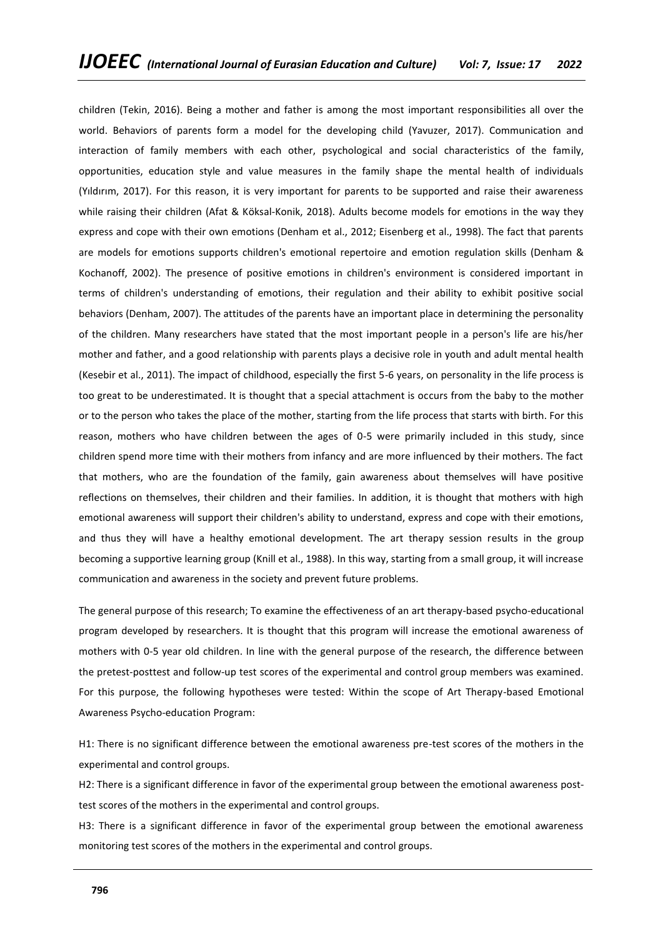children (Tekin, 2016). Being a mother and father is among the most important responsibilities all over the world. Behaviors of parents form a model for the developing child (Yavuzer, 2017). Communication and interaction of family members with each other, psychological and social characteristics of the family, opportunities, education style and value measures in the family shape the mental health of individuals (Yıldırım, 2017). For this reason, it is very important for parents to be supported and raise their awareness while raising their children (Afat & Köksal-Konik, 2018). Adults become models for emotions in the way they express and cope with their own emotions (Denham et al., 2012; Eisenberg et al., 1998). The fact that parents are models for emotions supports children's emotional repertoire and emotion regulation skills (Denham & Kochanoff, 2002). The presence of positive emotions in children's environment is considered important in terms of children's understanding of emotions, their regulation and their ability to exhibit positive social behaviors (Denham, 2007). The attitudes of the parents have an important place in determining the personality of the children. Many researchers have stated that the most important people in a person's life are his/her mother and father, and a good relationship with parents plays a decisive role in youth and adult mental health (Kesebir et al., 2011). The impact of childhood, especially the first 5-6 years, on personality in the life process is too great to be underestimated. It is thought that a special attachment is occurs from the baby to the mother or to the person who takes the place of the mother, starting from the life process that starts with birth. For this reason, mothers who have children between the ages of 0-5 were primarily included in this study, since children spend more time with their mothers from infancy and are more influenced by their mothers. The fact that mothers, who are the foundation of the family, gain awareness about themselves will have positive reflections on themselves, their children and their families. In addition, it is thought that mothers with high emotional awareness will support their children's ability to understand, express and cope with their emotions, and thus they will have a healthy emotional development. The art therapy session results in the group becoming a supportive learning group (Knill et al., 1988). In this way, starting from a small group, it will increase communication and awareness in the society and prevent future problems.

The general purpose of this research; To examine the effectiveness of an art therapy-based psycho-educational program developed by researchers. It is thought that this program will increase the emotional awareness of mothers with 0-5 year old children. In line with the general purpose of the research, the difference between the pretest-posttest and follow-up test scores of the experimental and control group members was examined. For this purpose, the following hypotheses were tested: Within the scope of Art Therapy-based Emotional Awareness Psycho-education Program:

H1: There is no significant difference between the emotional awareness pre-test scores of the mothers in the experimental and control groups.

H2: There is a significant difference in favor of the experimental group between the emotional awareness posttest scores of the mothers in the experimental and control groups.

H3: There is a significant difference in favor of the experimental group between the emotional awareness monitoring test scores of the mothers in the experimental and control groups.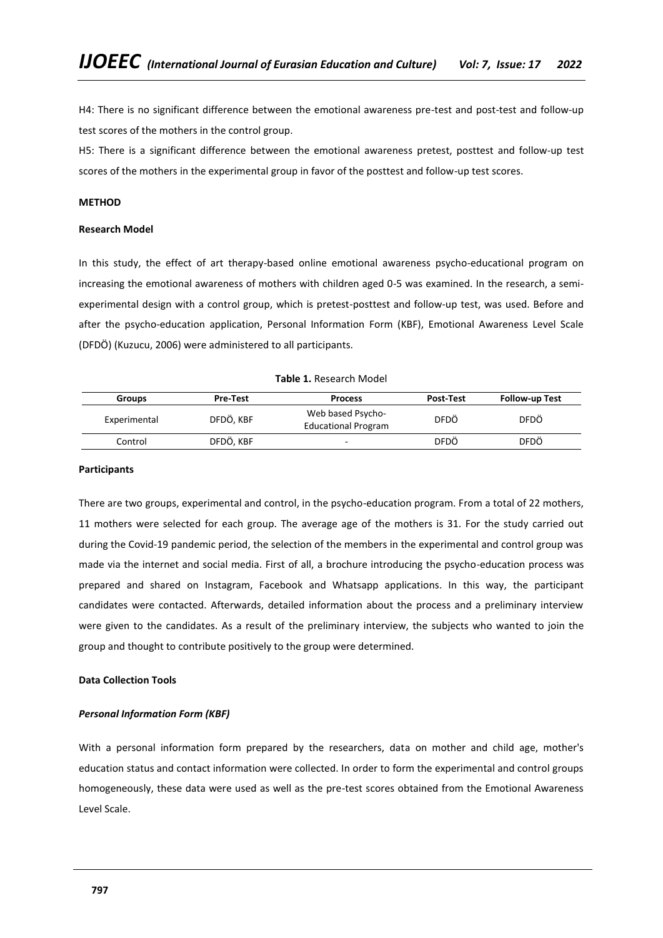H4: There is no significant difference between the emotional awareness pre-test and post-test and follow-up test scores of the mothers in the control group.

H5: There is a significant difference between the emotional awareness pretest, posttest and follow-up test scores of the mothers in the experimental group in favor of the posttest and follow-up test scores.

## **METHOD**

## **Research Model**

In this study, the effect of art therapy-based online emotional awareness psycho-educational program on increasing the emotional awareness of mothers with children aged 0-5 was examined. In the research, a semiexperimental design with a control group, which is pretest-posttest and follow-up test, was used. Before and after the psycho-education application, Personal Information Form (KBF), Emotional Awareness Level Scale (DFDÖ) (Kuzucu, 2006) were administered to all participants.

|              |                 | <b>TODIC 1.</b> RESEARCH BROUGH                 |                  |                       |
|--------------|-----------------|-------------------------------------------------|------------------|-----------------------|
| Groups       | <b>Pre-Test</b> | <b>Process</b>                                  | <b>Post-Test</b> | <b>Follow-up Test</b> |
| Experimental | DFDÖ, KBF       | Web based Psycho-<br><b>Educational Program</b> | DFDÖ             | DFDÖ                  |

**Table 1.** Research Model

Control DFDÖ, KBF - DFDÖ DFDÖ DFDÖ

### **Participants**

There are two groups, experimental and control, in the psycho-education program. From a total of 22 mothers, 11 mothers were selected for each group. The average age of the mothers is 31. For the study carried out during the Covid-19 pandemic period, the selection of the members in the experimental and control group was made via the internet and social media. First of all, a brochure introducing the psycho-education process was prepared and shared on Instagram, Facebook and Whatsapp applications. In this way, the participant candidates were contacted. Afterwards, detailed information about the process and a preliminary interview were given to the candidates. As a result of the preliminary interview, the subjects who wanted to join the group and thought to contribute positively to the group were determined.

# **Data Collection Tools**

### *Personal Information Form (KBF)*

With a personal information form prepared by the researchers, data on mother and child age, mother's education status and contact information were collected. In order to form the experimental and control groups homogeneously, these data were used as well as the pre-test scores obtained from the Emotional Awareness Level Scale.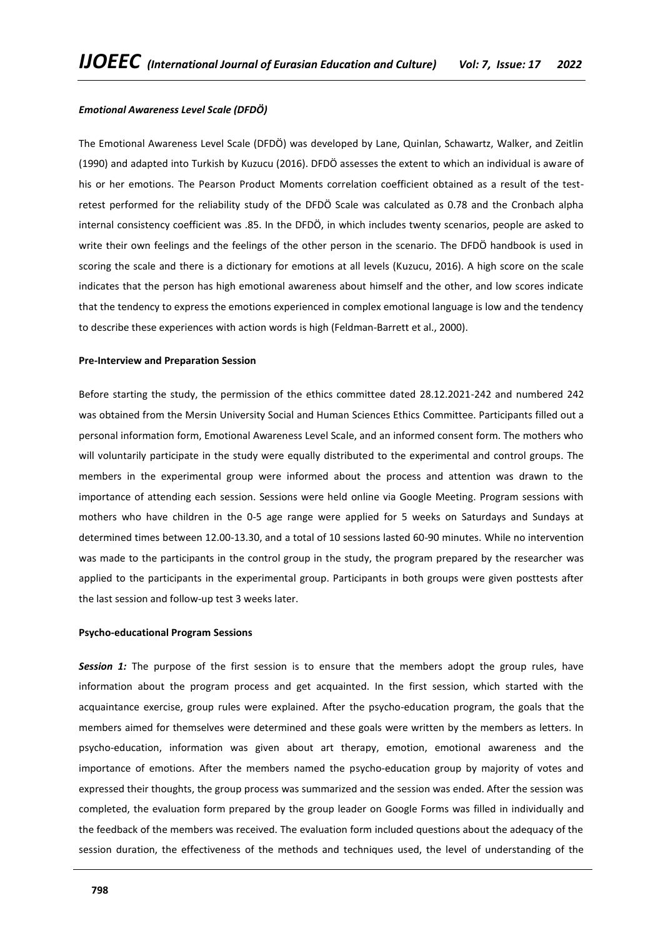### *Emotional Awareness Level Scale (DFDÖ)*

The Emotional Awareness Level Scale (DFDÖ) was developed by Lane, Quinlan, Schawartz, Walker, and Zeitlin (1990) and adapted into Turkish by Kuzucu (2016). DFDÖ assesses the extent to which an individual is aware of his or her emotions. The Pearson Product Moments correlation coefficient obtained as a result of the testretest performed for the reliability study of the DFDÖ Scale was calculated as 0.78 and the Cronbach alpha internal consistency coefficient was .85. In the DFDÖ, in which includes twenty scenarios, people are asked to write their own feelings and the feelings of the other person in the scenario. The DFDÖ handbook is used in scoring the scale and there is a dictionary for emotions at all levels (Kuzucu, 2016). A high score on the scale indicates that the person has high emotional awareness about himself and the other, and low scores indicate that the tendency to express the emotions experienced in complex emotional language is low and the tendency to describe these experiences with action words is high (Feldman-Barrett et al., 2000).

## **Pre-Interview and Preparation Session**

Before starting the study, the permission of the ethics committee dated 28.12.2021-242 and numbered 242 was obtained from the Mersin University Social and Human Sciences Ethics Committee. Participants filled out a personal information form, Emotional Awareness Level Scale, and an informed consent form. The mothers who will voluntarily participate in the study were equally distributed to the experimental and control groups. The members in the experimental group were informed about the process and attention was drawn to the importance of attending each session. Sessions were held online via Google Meeting. Program sessions with mothers who have children in the 0-5 age range were applied for 5 weeks on Saturdays and Sundays at determined times between 12.00-13.30, and a total of 10 sessions lasted 60-90 minutes. While no intervention was made to the participants in the control group in the study, the program prepared by the researcher was applied to the participants in the experimental group. Participants in both groups were given posttests after the last session and follow-up test 3 weeks later.

#### **Psycho-educational Program Sessions**

**Session 1:** The purpose of the first session is to ensure that the members adopt the group rules, have information about the program process and get acquainted. In the first session, which started with the acquaintance exercise, group rules were explained. After the psycho-education program, the goals that the members aimed for themselves were determined and these goals were written by the members as letters. In psycho-education, information was given about art therapy, emotion, emotional awareness and the importance of emotions. After the members named the psycho-education group by majority of votes and expressed their thoughts, the group process was summarized and the session was ended. After the session was completed, the evaluation form prepared by the group leader on Google Forms was filled in individually and the feedback of the members was received. The evaluation form included questions about the adequacy of the session duration, the effectiveness of the methods and techniques used, the level of understanding of the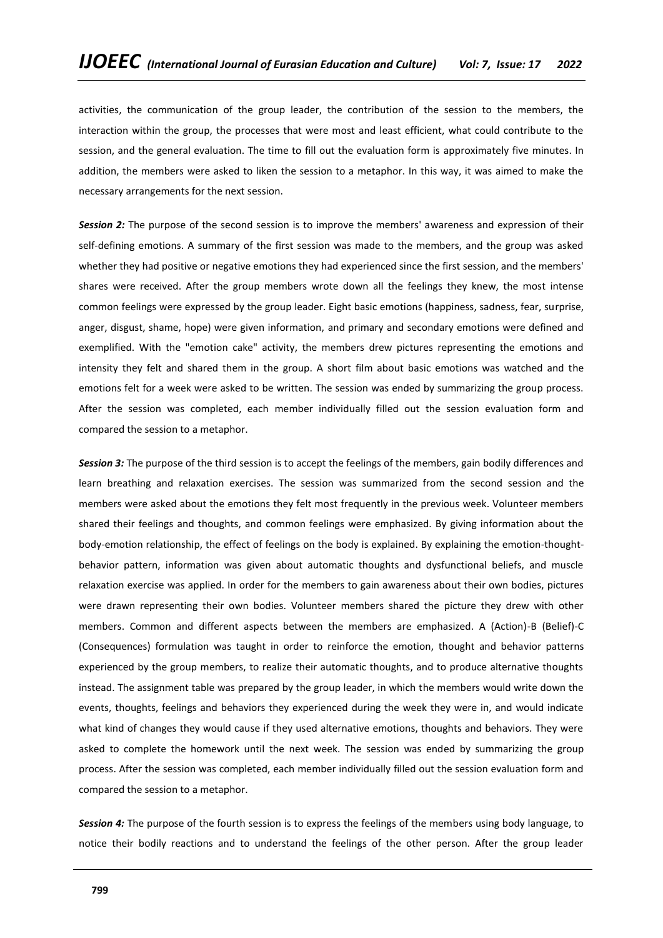activities, the communication of the group leader, the contribution of the session to the members, the interaction within the group, the processes that were most and least efficient, what could contribute to the session, and the general evaluation. The time to fill out the evaluation form is approximately five minutes. In addition, the members were asked to liken the session to a metaphor. In this way, it was aimed to make the necessary arrangements for the next session.

*Session 2:* The purpose of the second session is to improve the members' awareness and expression of their self-defining emotions. A summary of the first session was made to the members, and the group was asked whether they had positive or negative emotions they had experienced since the first session, and the members' shares were received. After the group members wrote down all the feelings they knew, the most intense common feelings were expressed by the group leader. Eight basic emotions (happiness, sadness, fear, surprise, anger, disgust, shame, hope) were given information, and primary and secondary emotions were defined and exemplified. With the "emotion cake" activity, the members drew pictures representing the emotions and intensity they felt and shared them in the group. A short film about basic emotions was watched and the emotions felt for a week were asked to be written. The session was ended by summarizing the group process. After the session was completed, each member individually filled out the session evaluation form and compared the session to a metaphor.

*Session 3:* The purpose of the third session is to accept the feelings of the members, gain bodily differences and learn breathing and relaxation exercises. The session was summarized from the second session and the members were asked about the emotions they felt most frequently in the previous week. Volunteer members shared their feelings and thoughts, and common feelings were emphasized. By giving information about the body-emotion relationship, the effect of feelings on the body is explained. By explaining the emotion-thoughtbehavior pattern, information was given about automatic thoughts and dysfunctional beliefs, and muscle relaxation exercise was applied. In order for the members to gain awareness about their own bodies, pictures were drawn representing their own bodies. Volunteer members shared the picture they drew with other members. Common and different aspects between the members are emphasized. A (Action)-B (Belief)-C (Consequences) formulation was taught in order to reinforce the emotion, thought and behavior patterns experienced by the group members, to realize their automatic thoughts, and to produce alternative thoughts instead. The assignment table was prepared by the group leader, in which the members would write down the events, thoughts, feelings and behaviors they experienced during the week they were in, and would indicate what kind of changes they would cause if they used alternative emotions, thoughts and behaviors. They were asked to complete the homework until the next week. The session was ended by summarizing the group process. After the session was completed, each member individually filled out the session evaluation form and compared the session to a metaphor.

*Session 4:* The purpose of the fourth session is to express the feelings of the members using body language, to notice their bodily reactions and to understand the feelings of the other person. After the group leader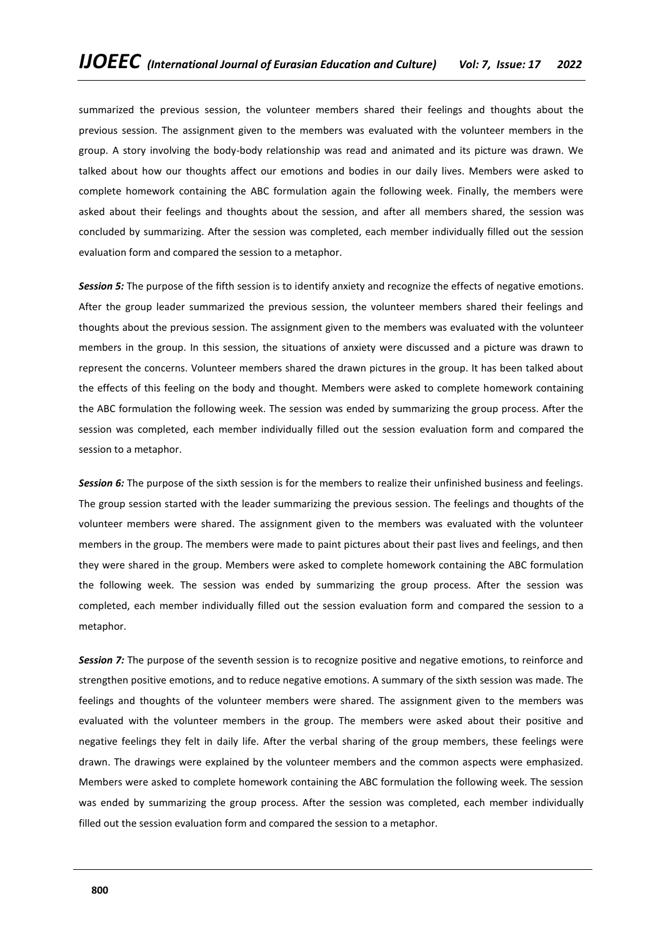summarized the previous session, the volunteer members shared their feelings and thoughts about the previous session. The assignment given to the members was evaluated with the volunteer members in the group. A story involving the body-body relationship was read and animated and its picture was drawn. We talked about how our thoughts affect our emotions and bodies in our daily lives. Members were asked to complete homework containing the ABC formulation again the following week. Finally, the members were asked about their feelings and thoughts about the session, and after all members shared, the session was concluded by summarizing. After the session was completed, each member individually filled out the session evaluation form and compared the session to a metaphor.

*Session 5:* The purpose of the fifth session is to identify anxiety and recognize the effects of negative emotions. After the group leader summarized the previous session, the volunteer members shared their feelings and thoughts about the previous session. The assignment given to the members was evaluated with the volunteer members in the group. In this session, the situations of anxiety were discussed and a picture was drawn to represent the concerns. Volunteer members shared the drawn pictures in the group. It has been talked about the effects of this feeling on the body and thought. Members were asked to complete homework containing the ABC formulation the following week. The session was ended by summarizing the group process. After the session was completed, each member individually filled out the session evaluation form and compared the session to a metaphor.

*Session 6:* The purpose of the sixth session is for the members to realize their unfinished business and feelings. The group session started with the leader summarizing the previous session. The feelings and thoughts of the volunteer members were shared. The assignment given to the members was evaluated with the volunteer members in the group. The members were made to paint pictures about their past lives and feelings, and then they were shared in the group. Members were asked to complete homework containing the ABC formulation the following week. The session was ended by summarizing the group process. After the session was completed, each member individually filled out the session evaluation form and compared the session to a metaphor.

**Session 7:** The purpose of the seventh session is to recognize positive and negative emotions, to reinforce and strengthen positive emotions, and to reduce negative emotions. A summary of the sixth session was made. The feelings and thoughts of the volunteer members were shared. The assignment given to the members was evaluated with the volunteer members in the group. The members were asked about their positive and negative feelings they felt in daily life. After the verbal sharing of the group members, these feelings were drawn. The drawings were explained by the volunteer members and the common aspects were emphasized. Members were asked to complete homework containing the ABC formulation the following week. The session was ended by summarizing the group process. After the session was completed, each member individually filled out the session evaluation form and compared the session to a metaphor.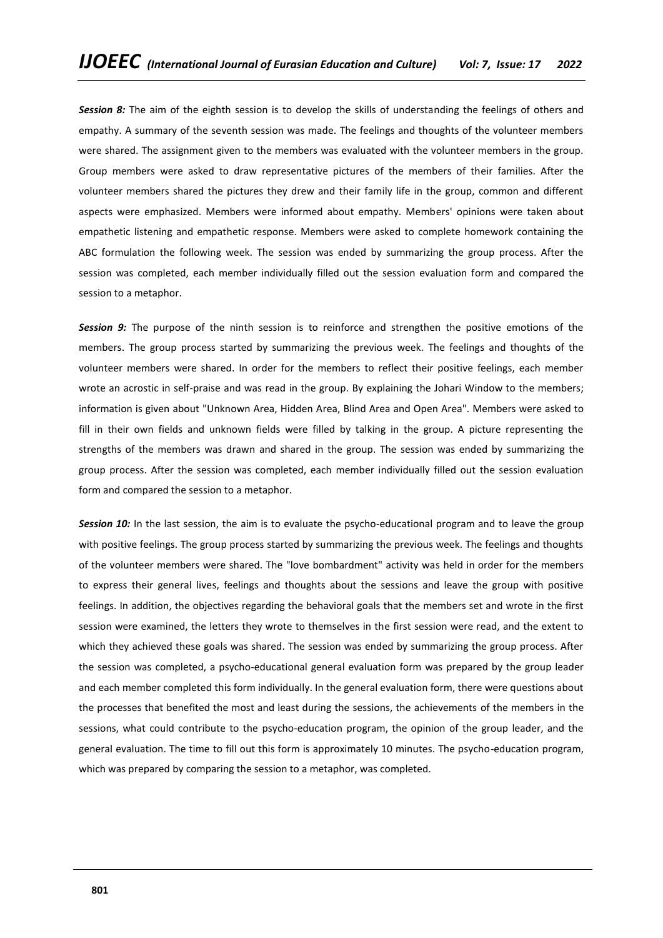*Session 8:* The aim of the eighth session is to develop the skills of understanding the feelings of others and empathy. A summary of the seventh session was made. The feelings and thoughts of the volunteer members were shared. The assignment given to the members was evaluated with the volunteer members in the group. Group members were asked to draw representative pictures of the members of their families. After the volunteer members shared the pictures they drew and their family life in the group, common and different aspects were emphasized. Members were informed about empathy. Members' opinions were taken about empathetic listening and empathetic response. Members were asked to complete homework containing the ABC formulation the following week. The session was ended by summarizing the group process. After the session was completed, each member individually filled out the session evaluation form and compared the session to a metaphor.

**Session 9:** The purpose of the ninth session is to reinforce and strengthen the positive emotions of the members. The group process started by summarizing the previous week. The feelings and thoughts of the volunteer members were shared. In order for the members to reflect their positive feelings, each member wrote an acrostic in self-praise and was read in the group. By explaining the Johari Window to the members; information is given about "Unknown Area, Hidden Area, Blind Area and Open Area". Members were asked to fill in their own fields and unknown fields were filled by talking in the group. A picture representing the strengths of the members was drawn and shared in the group. The session was ended by summarizing the group process. After the session was completed, each member individually filled out the session evaluation form and compared the session to a metaphor.

**Session 10:** In the last session, the aim is to evaluate the psycho-educational program and to leave the group with positive feelings. The group process started by summarizing the previous week. The feelings and thoughts of the volunteer members were shared. The "love bombardment" activity was held in order for the members to express their general lives, feelings and thoughts about the sessions and leave the group with positive feelings. In addition, the objectives regarding the behavioral goals that the members set and wrote in the first session were examined, the letters they wrote to themselves in the first session were read, and the extent to which they achieved these goals was shared. The session was ended by summarizing the group process. After the session was completed, a psycho-educational general evaluation form was prepared by the group leader and each member completed this form individually. In the general evaluation form, there were questions about the processes that benefited the most and least during the sessions, the achievements of the members in the sessions, what could contribute to the psycho-education program, the opinion of the group leader, and the general evaluation. The time to fill out this form is approximately 10 minutes. The psycho-education program, which was prepared by comparing the session to a metaphor, was completed.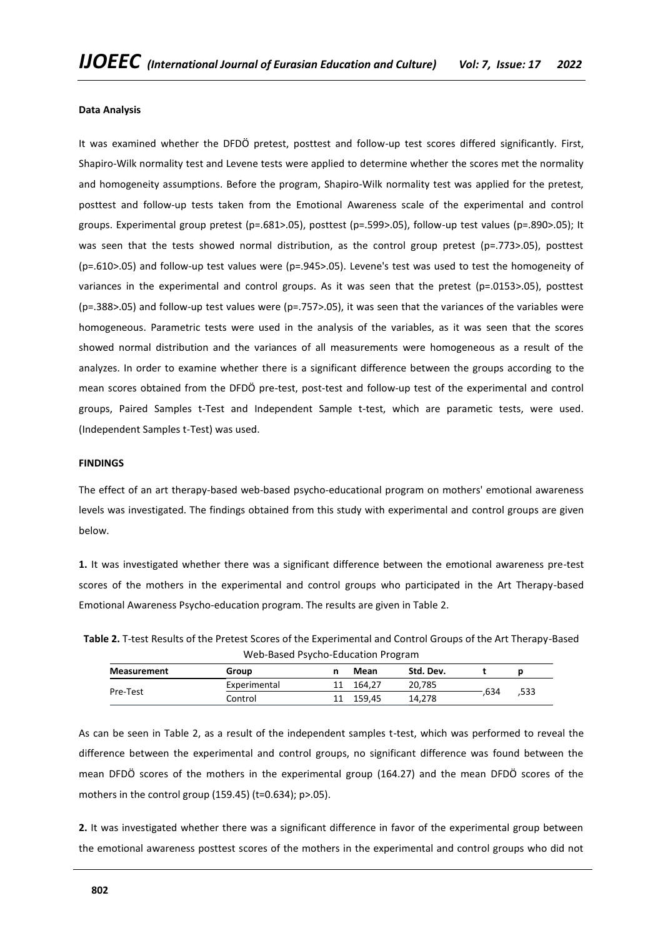### **Data Analysis**

It was examined whether the DFDÖ pretest, posttest and follow-up test scores differed significantly. First, Shapiro-Wilk normality test and Levene tests were applied to determine whether the scores met the normality and homogeneity assumptions. Before the program, Shapiro-Wilk normality test was applied for the pretest, posttest and follow-up tests taken from the Emotional Awareness scale of the experimental and control groups. Experimental group pretest (p=.681>.05), posttest (p=.599>.05), follow-up test values (p=.890>.05); It was seen that the tests showed normal distribution, as the control group pretest (p=.773>.05), posttest (p=.610>.05) and follow-up test values were (p=.945>.05). Levene's test was used to test the homogeneity of variances in the experimental and control groups. As it was seen that the pretest (p=.0153>.05), posttest (p=.388>.05) and follow-up test values were (p=.757>.05), it was seen that the variances of the variables were homogeneous. Parametric tests were used in the analysis of the variables, as it was seen that the scores showed normal distribution and the variances of all measurements were homogeneous as a result of the analyzes. In order to examine whether there is a significant difference between the groups according to the mean scores obtained from the DFDÖ pre-test, post-test and follow-up test of the experimental and control groups, Paired Samples t-Test and Independent Sample t-test, which are parametic tests, were used. (Independent Samples t-Test) was used.

### **FINDINGS**

The effect of an art therapy-based web-based psycho-educational program on mothers' emotional awareness levels was investigated. The findings obtained from this study with experimental and control groups are given below.

**1.** It was investigated whether there was a significant difference between the emotional awareness pre-test scores of the mothers in the experimental and control groups who participated in the Art Therapy-based Emotional Awareness Psycho-education program. The results are given in Table 2.

|                    | Acco based Foyend Education Flogram |    |        |           |      |      |
|--------------------|-------------------------------------|----|--------|-----------|------|------|
| <b>Measurement</b> | Group                               |    | Mean   | Std. Dev. |      |      |
|                    | Experimental                        |    | 164.27 | 20.785    |      |      |
| Pre-Test           | Control                             | 11 | 159.45 | 14,278    | .634 | ,533 |

**Table 2.** T-test Results of the Pretest Scores of the Experimental and Control Groups of the Art Therapy-Based Web-Based Psycho-Education Program

As can be seen in Table 2, as a result of the independent samples t-test, which was performed to reveal the difference between the experimental and control groups, no significant difference was found between the mean DFDÖ scores of the mothers in the experimental group (164.27) and the mean DFDÖ scores of the mothers in the control group (159.45) (t=0.634); p>.05).

**2.** It was investigated whether there was a significant difference in favor of the experimental group between the emotional awareness posttest scores of the mothers in the experimental and control groups who did not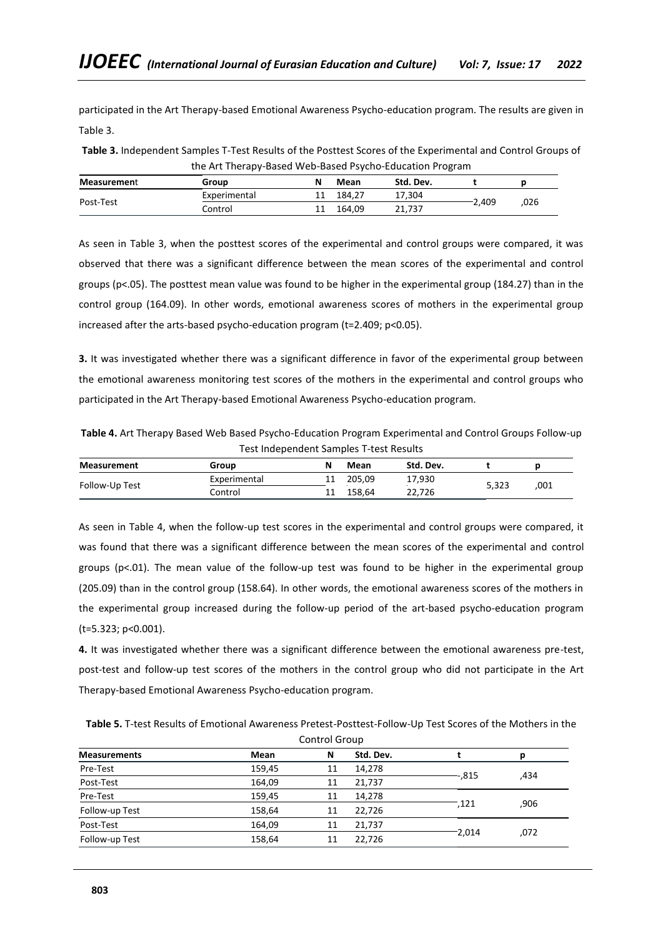participated in the Art Therapy-based Emotional Awareness Psycho-education program. The results are given in Table 3.

**Table 3.** Independent Samples T-Test Results of the Posttest Scores of the Experimental and Control Groups of the Art Therapy-Based Web-Based Psycho-Education Program

| <b>Measurement</b> | Group        |    | Mean   | Std. Dev. |       |      |
|--------------------|--------------|----|--------|-----------|-------|------|
|                    | Experimental |    | 184.27 | 17.304    |       |      |
| Post-Test          | Control      | 11 | 164.09 | 21.737    | 2.409 | .026 |

As seen in Table 3, when the posttest scores of the experimental and control groups were compared, it was observed that there was a significant difference between the mean scores of the experimental and control groups (p<.05). The posttest mean value was found to be higher in the experimental group (184.27) than in the control group (164.09). In other words, emotional awareness scores of mothers in the experimental group increased after the arts-based psycho-education program (t=2.409; p<0.05).

**3.** It was investigated whether there was a significant difference in favor of the experimental group between the emotional awareness monitoring test scores of the mothers in the experimental and control groups who participated in the Art Therapy-based Emotional Awareness Psycho-education program.

| Table 4. Art Therapy Based Web Based Psycho-Education Program Experimental and Control Groups Follow-up |
|---------------------------------------------------------------------------------------------------------|
| Test Independent Samples T-test Results                                                                 |

| <b>Measurement</b> | Group        | Mean   | Std. Dev. |       |      |
|--------------------|--------------|--------|-----------|-------|------|
|                    | Experimental | 205.09 | 17.930    | 5,323 | .001 |
| Follow-Up Test     | Control      | 158.64 | 22.726    |       |      |

As seen in Table 4, when the follow-up test scores in the experimental and control groups were compared, it was found that there was a significant difference between the mean scores of the experimental and control groups (p<.01). The mean value of the follow-up test was found to be higher in the experimental group (205.09) than in the control group (158.64). In other words, the emotional awareness scores of the mothers in the experimental group increased during the follow-up period of the art-based psycho-education program (t=5.323; p<0.001).

**4.** It was investigated whether there was a significant difference between the emotional awareness pre-test, post-test and follow-up test scores of the mothers in the control group who did not participate in the Art Therapy-based Emotional Awareness Psycho-education program.

**Table 5.** T-test Results of Emotional Awareness Pretest-Posttest-Follow-Up Test Scores of the Mothers in the Control Group

| <b>Measurements</b> | Mean   | N  | Std. Dev. |          |      |
|---------------------|--------|----|-----------|----------|------|
| Pre-Test            | 159,45 | 11 | 14,278    |          |      |
| Post-Test           | 164,09 | 11 | 21,737    | --.815   | ,434 |
| Pre-Test            | 159,45 | 11 | 14,278    |          | ,906 |
| Follow-up Test      | 158,64 | 11 | 22.726    | -,121    |      |
| Post-Test           | 164,09 | 11 | 21.737    |          |      |
| Follow-up Test      | 158,64 | 11 | 22,726    | $-2.014$ | ,072 |
|                     |        |    |           |          |      |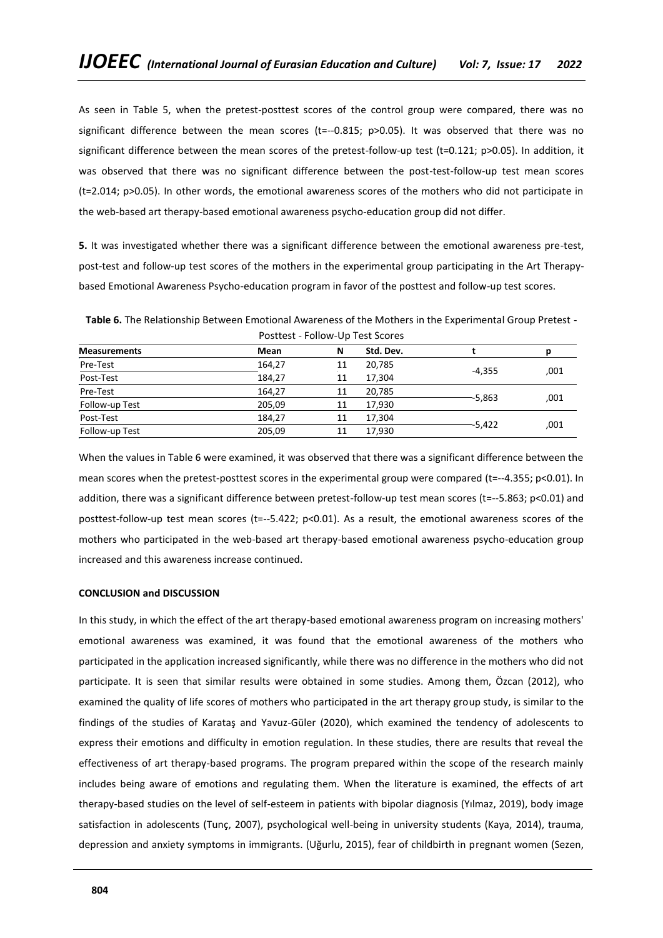As seen in Table 5, when the pretest-posttest scores of the control group were compared, there was no significant difference between the mean scores (t= $-0.815$ ; p>0.05). It was observed that there was no significant difference between the mean scores of the pretest-follow-up test (t=0.121; p>0.05). In addition, it was observed that there was no significant difference between the post-test-follow-up test mean scores (t=2.014; p>0.05). In other words, the emotional awareness scores of the mothers who did not participate in the web-based art therapy-based emotional awareness psycho-education group did not differ.

**5.** It was investigated whether there was a significant difference between the emotional awareness pre-test, post-test and follow-up test scores of the mothers in the experimental group participating in the Art Therapybased Emotional Awareness Psycho-education program in favor of the posttest and follow-up test scores.

| POSITEST - FOROW-OD TEST SCOTES |        |    |           |          |      |  |
|---------------------------------|--------|----|-----------|----------|------|--|
| <b>Measurements</b>             | Mean   | N  | Std. Dev. |          |      |  |
| Pre-Test                        | 164.27 | 11 | 20,785    | $-4.355$ |      |  |
| Post-Test                       | 184,27 | 11 | 17,304    |          | ,001 |  |
| Pre-Test                        | 164,27 | 11 | 20,785    |          |      |  |
| Follow-up Test                  | 205,09 | 11 | 17,930    | --5.863  | ,001 |  |
| Post-Test                       | 184,27 | 11 | 17,304    |          |      |  |
| Follow-up Test                  | 205,09 | 11 | 17.930    | --5.422  | ,001 |  |

**Table 6.** The Relationship Between Emotional Awareness of the Mothers in the Experimental Group Pretest - Posttest - Follow-Up Test Scores

When the values in Table 6 were examined, it was observed that there was a significant difference between the mean scores when the pretest-posttest scores in the experimental group were compared (t=--4.355; p<0.01). In addition, there was a significant difference between pretest-follow-up test mean scores (t=--5.863; p<0.01) and posttest-follow-up test mean scores (t=--5.422; p<0.01). As a result, the emotional awareness scores of the mothers who participated in the web-based art therapy-based emotional awareness psycho-education group increased and this awareness increase continued.

# **CONCLUSION and DISCUSSION**

In this study, in which the effect of the art therapy-based emotional awareness program on increasing mothers' emotional awareness was examined, it was found that the emotional awareness of the mothers who participated in the application increased significantly, while there was no difference in the mothers who did not participate. It is seen that similar results were obtained in some studies. Among them, Özcan (2012), who examined the quality of life scores of mothers who participated in the art therapy group study, is similar to the findings of the studies of Karataş and Yavuz-Güler (2020), which examined the tendency of adolescents to express their emotions and difficulty in emotion regulation. In these studies, there are results that reveal the effectiveness of art therapy-based programs. The program prepared within the scope of the research mainly includes being aware of emotions and regulating them. When the literature is examined, the effects of art therapy-based studies on the level of self-esteem in patients with bipolar diagnosis (Yılmaz, 2019), body image satisfaction in adolescents (Tunç, 2007), psychological well-being in university students (Kaya, 2014), trauma, depression and anxiety symptoms in immigrants. (Uğurlu, 2015), fear of childbirth in pregnant women (Sezen,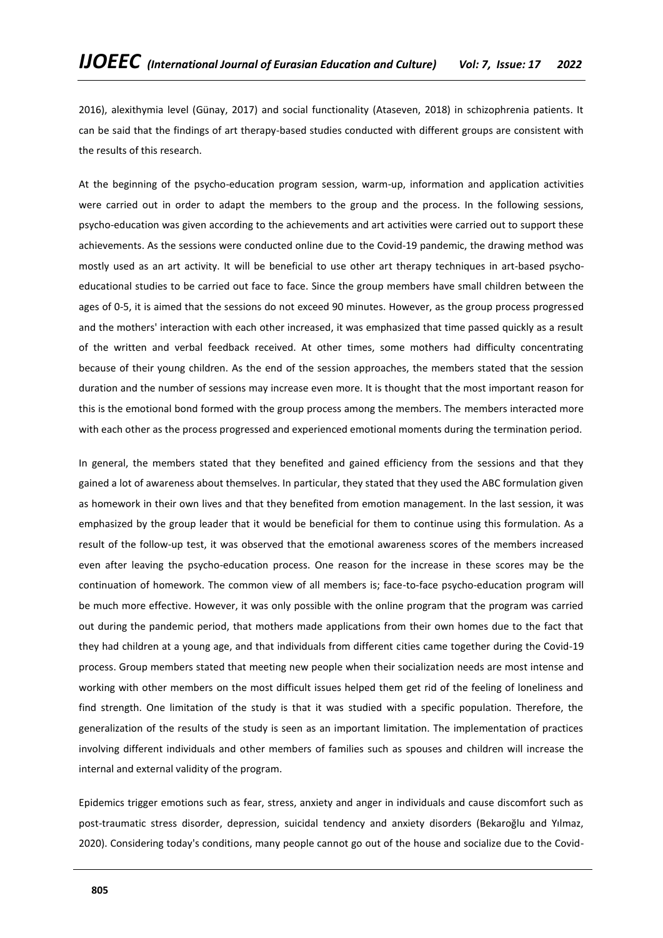2016), alexithymia level (Günay, 2017) and social functionality (Ataseven, 2018) in schizophrenia patients. It can be said that the findings of art therapy-based studies conducted with different groups are consistent with the results of this research.

At the beginning of the psycho-education program session, warm-up, information and application activities were carried out in order to adapt the members to the group and the process. In the following sessions, psycho-education was given according to the achievements and art activities were carried out to support these achievements. As the sessions were conducted online due to the Covid-19 pandemic, the drawing method was mostly used as an art activity. It will be beneficial to use other art therapy techniques in art-based psychoeducational studies to be carried out face to face. Since the group members have small children between the ages of 0-5, it is aimed that the sessions do not exceed 90 minutes. However, as the group process progressed and the mothers' interaction with each other increased, it was emphasized that time passed quickly as a result of the written and verbal feedback received. At other times, some mothers had difficulty concentrating because of their young children. As the end of the session approaches, the members stated that the session duration and the number of sessions may increase even more. It is thought that the most important reason for this is the emotional bond formed with the group process among the members. The members interacted more with each other as the process progressed and experienced emotional moments during the termination period.

In general, the members stated that they benefited and gained efficiency from the sessions and that they gained a lot of awareness about themselves. In particular, they stated that they used the ABC formulation given as homework in their own lives and that they benefited from emotion management. In the last session, it was emphasized by the group leader that it would be beneficial for them to continue using this formulation. As a result of the follow-up test, it was observed that the emotional awareness scores of the members increased even after leaving the psycho-education process. One reason for the increase in these scores may be the continuation of homework. The common view of all members is; face-to-face psycho-education program will be much more effective. However, it was only possible with the online program that the program was carried out during the pandemic period, that mothers made applications from their own homes due to the fact that they had children at a young age, and that individuals from different cities came together during the Covid-19 process. Group members stated that meeting new people when their socialization needs are most intense and working with other members on the most difficult issues helped them get rid of the feeling of loneliness and find strength. One limitation of the study is that it was studied with a specific population. Therefore, the generalization of the results of the study is seen as an important limitation. The implementation of practices involving different individuals and other members of families such as spouses and children will increase the internal and external validity of the program.

Epidemics trigger emotions such as fear, stress, anxiety and anger in individuals and cause discomfort such as post-traumatic stress disorder, depression, suicidal tendency and anxiety disorders (Bekaroğlu and Yılmaz, 2020). Considering today's conditions, many people cannot go out of the house and socialize due to the Covid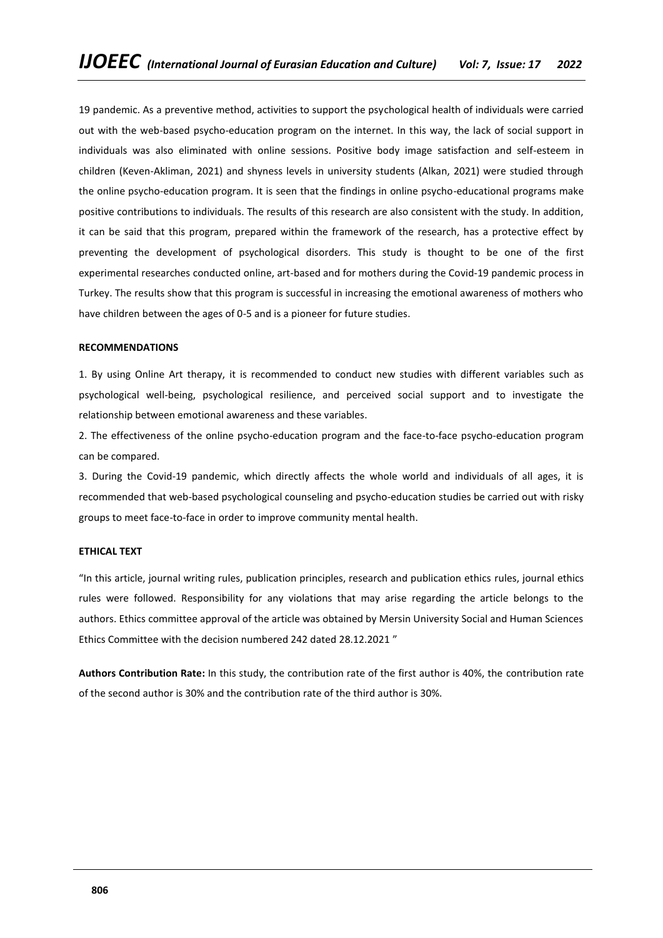19 pandemic. As a preventive method, activities to support the psychological health of individuals were carried out with the web-based psycho-education program on the internet. In this way, the lack of social support in individuals was also eliminated with online sessions. Positive body image satisfaction and self-esteem in children (Keven-Akliman, 2021) and shyness levels in university students (Alkan, 2021) were studied through the online psycho-education program. It is seen that the findings in online psycho-educational programs make positive contributions to individuals. The results of this research are also consistent with the study. In addition, it can be said that this program, prepared within the framework of the research, has a protective effect by preventing the development of psychological disorders. This study is thought to be one of the first experimental researches conducted online, art-based and for mothers during the Covid-19 pandemic process in Turkey. The results show that this program is successful in increasing the emotional awareness of mothers who have children between the ages of 0-5 and is a pioneer for future studies.

## **RECOMMENDATIONS**

1. By using Online Art therapy, it is recommended to conduct new studies with different variables such as psychological well-being, psychological resilience, and perceived social support and to investigate the relationship between emotional awareness and these variables.

2. The effectiveness of the online psycho-education program and the face-to-face psycho-education program can be compared.

3. During the Covid-19 pandemic, which directly affects the whole world and individuals of all ages, it is recommended that web-based psychological counseling and psycho-education studies be carried out with risky groups to meet face-to-face in order to improve community mental health.

### **ETHICAL TEXT**

"In this article, journal writing rules, publication principles, research and publication ethics rules, journal ethics rules were followed. Responsibility for any violations that may arise regarding the article belongs to the authors. Ethics committee approval of the article was obtained by Mersin University Social and Human Sciences Ethics Committee with the decision numbered 242 dated 28.12.2021 "

**Authors Contribution Rate:** In this study, the contribution rate of the first author is 40%, the contribution rate of the second author is 30% and the contribution rate of the third author is 30%.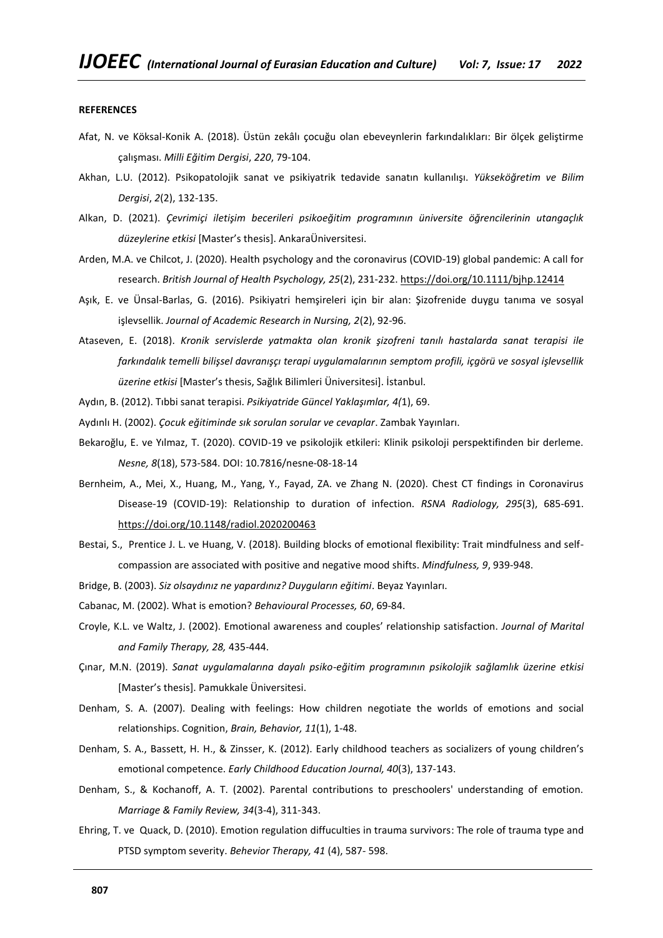### **REFERENCES**

- Afat, N. ve Köksal-Konik A. (2018). Üstün zekâlı çocuğu olan ebeveynlerin farkındalıkları: Bir ölçek geliştirme çalışması. *Milli Eğitim Dergisi*, *220*, 79-104.
- Akhan, L.U. (2012). Psikopatolojik sanat ve psikiyatrik tedavide sanatın kullanılışı. *Yükseköğretim ve Bilim Dergisi*, *2*(2), 132-135.
- Alkan, D. (2021). *Çevrimiçi iletişim becerileri psikoeğitim programının üniversite öğrencilerinin utangaçlık düzeylerine etkisi* [Master's thesis]. AnkaraÜniversitesi.
- Arden, M.A. ve Chilcot, J. (2020). Health psychology and the coronavirus (COVID-19) global pandemic: A call for research. *British Journal of Health Psychology, 25*(2), 231-232[. https://doi.org/10.1111/bjhp.12414](https://doi.org/10.1111/bjhp.12414)
- Aşık, E. ve Ünsal-Barlas, G. (2016). Psikiyatri hemşireleri için bir alan: Şizofrenide duygu tanıma ve sosyal işlevsellik. *Journal of Academic Research in Nursing, 2*(2), 92-96.
- Ataseven, E. (2018). *Kronik servislerde yatmakta olan kronik şizofreni tanılı hastalarda sanat terapisi ile farkındalık temelli bilişsel davranışçı terapi uygulamalarının semptom profili, içgörü ve sosyal işlevsellik üzerine etkisi* [Master's thesis, Sağlık Bilimleri Üniversitesi]. İstanbul.
- Aydın, B. (2012). Tıbbi sanat terapisi. *Psikiyatride Güncel Yaklaşımlar, 4(*1), 69.
- Aydınlı H. (2002). *Çocuk eğitiminde sık sorulan sorular ve cevaplar*. Zambak Yayınları.
- Bekaroğlu, E. ve Yılmaz, T. (2020). COVID-19 ve psikolojik etkileri: Klinik psikoloji perspektifinden bir derleme. *Nesne, 8*(18), 573-584. DOI: 10.7816/nesne-08-18-14
- Bernheim, A., Mei, X., Huang, M., Yang, Y., Fayad, ZA. ve Zhang N. (2020). Chest CT findings in Coronavirus Disease-19 (COVID-19): Relationship to duration of infection. *RSNA Radiology, 295*(3), 685-691. <https://doi.org/10.1148/radiol.2020200463>
- Bestai, S., Prentice J. L. ve Huang, V. (2018). Building blocks of emotional flexibility: Trait mindfulness and selfcompassion are associated with positive and negative mood shifts. *Mindfulness, 9*, 939-948.
- Bridge, B. (2003). *Siz olsaydınız ne yapardınız? Duyguların eğitimi*. Beyaz Yayınları.
- Cabanac, M. (2002). What is emotion? *Behavioural Processes, 60*, 69-84.
- Croyle, K.L. ve Waltz, J. (2002). Emotional awareness and couples' relationship satisfaction. *Journal of Marital and Family Therapy, 28,* 435-444.
- Çınar, M.N. (2019). *Sanat uygulamalarına dayalı psiko-eğitim programının psikolojik sağlamlık üzerine etkisi* [Master's thesis]. Pamukkale Üniversitesi.
- Denham, S. A. (2007). Dealing with feelings: How children negotiate the worlds of emotions and social relationships. Cognition, *Brain, Behavior, 11*(1), 1-48.
- Denham, S. A., Bassett, H. H., & Zinsser, K. (2012). Early childhood teachers as socializers of young children's emotional competence. *Early Childhood Education Journal, 40*(3), 137-143.
- Denham, S., & Kochanoff, A. T. (2002). Parental contributions to preschoolers' understanding of emotion. *Marriage & Family Review, 34*(3-4), 311-343.
- Ehring, T. ve Quack, D. (2010). Emotion regulation diffuculties in trauma survivors: The role of trauma type and PTSD symptom severity. *Behevior Therapy, 41* (4), 587- 598.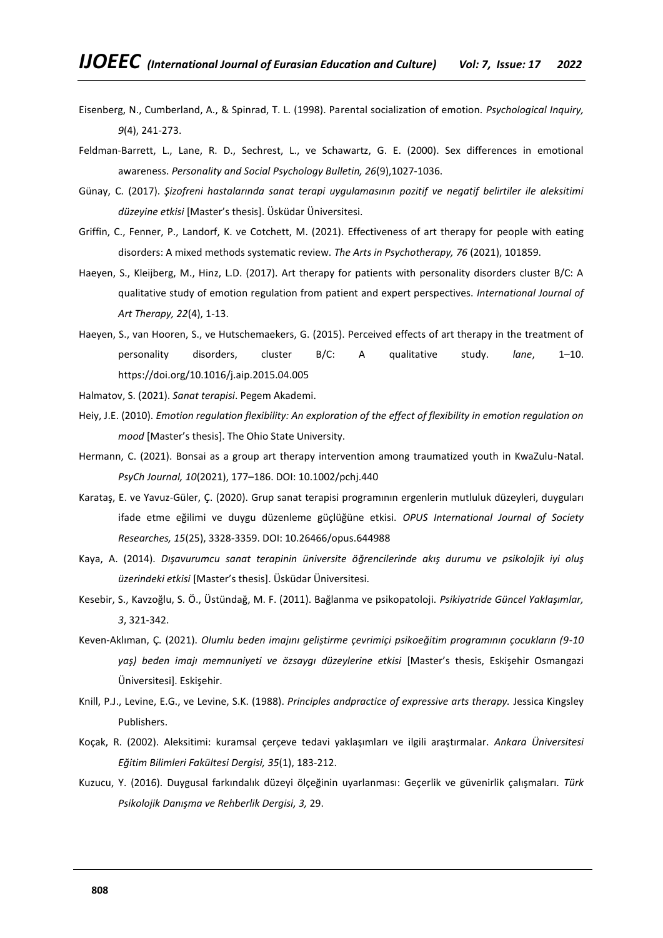- Eisenberg, N., Cumberland, A., & Spinrad, T. L. (1998). Parental socialization of emotion. *Psychological Inquiry, 9*(4), 241-273.
- Feldman-Barrett, L., Lane, R. D., Sechrest, L., ve Schawartz, G. E. (2000). Sex differences in emotional awareness. *Personality and Social Psychology Bulletin, 26*(9),1027-1036.
- Günay, C. (2017). *Şizofreni hastalarında sanat terapi uygulamasının pozitif ve negatif belirtiler ile aleksitimi düzeyine etkisi* [Master's thesis]. Üsküdar Üniversitesi.
- Griffin, C., Fenner, P., Landorf, K. ve Cotchett, M. (2021). Effectiveness of art therapy for people with eating disorders: A mixed methods systematic review. *The Arts in Psychotherapy, 76* (2021), 101859.
- Haeyen, S., Kleijberg, M., Hinz, L.D. (2017). Art therapy for patients with personality disorders cluster B/C: A qualitative study of emotion regulation from patient and expert perspectives. *International Journal of Art Therapy, 22*(4), 1-13.
- Haeyen, S., van Hooren, S., ve Hutschemaekers, G. (2015). Perceived effects of art therapy in the treatment of personality disorders, cluster B/C: A qualitative study. *lane*, 1–10. https://doi.org/10.1016/j.aip.2015.04.005
- Halmatov, S. (2021). *Sanat terapisi*. Pegem Akademi.
- Heiy, J.E. (2010). *Emotion regulation flexibility: An exploration of the effect of flexibility in emotion regulation on mood* [Master's thesis]. The Ohio State University.
- Hermann, C. (2021). Bonsai as a group art therapy intervention among traumatized youth in KwaZulu-Natal. *PsyCh Journal, 10*(2021), 177–186. DOI: 10.1002/pchj.440
- Karataş, E. ve Yavuz-Güler, Ç. (2020). Grup sanat terapisi programının ergenlerin mutluluk düzeyleri, duyguları ifade etme eğilimi ve duygu düzenleme güçlüğüne etkisi. *OPUS International Journal of Society Researches, 15*(25), 3328-3359. DOI: 10.26466/opus.644988
- Kaya, A. (2014). *Dışavurumcu sanat terapinin üniversite öğrencilerinde akış durumu ve psikolojik iyi oluş üzerindeki etkisi* [Master's thesis]. Üsküdar Üniversitesi.
- Kesebir, S., Kavzoğlu, S. Ö., Üstündağ, M. F. (2011). Bağlanma ve psikopatoloji. *Psikiyatride Güncel Yaklaşımlar, 3*, 321-342.
- Keven-Aklıman, Ç. (2021). *Olumlu beden imajını geliştirme çevrimiçi psikoeğitim programının çocukların (9-10 yaş) beden imajı memnuniyeti ve özsaygı düzeylerine etkisi* [Master's thesis, Eskişehir Osmangazi Üniversitesi]. Eskişehir.
- Knill, P.J., Levine, E.G., ve Levine, S.K. (1988). *Principles andpractice of expressive arts therapy.* Jessica Kingsley Publishers.
- Koçak, R. (2002). Aleksitimi: kuramsal çerçeve tedavi yaklaşımları ve ilgili araştırmalar. *Ankara Üniversitesi Eğitim Bilimleri Fakültesi Dergisi, 35*(1), 183-212.
- Kuzucu, Y. (2016). Duygusal farkındalık düzeyi ölçeğinin uyarlanması: Geçerlik ve güvenirlik çalışmaları. *Türk Psikolojik Danışma ve Rehberlik Dergisi, 3,* 29.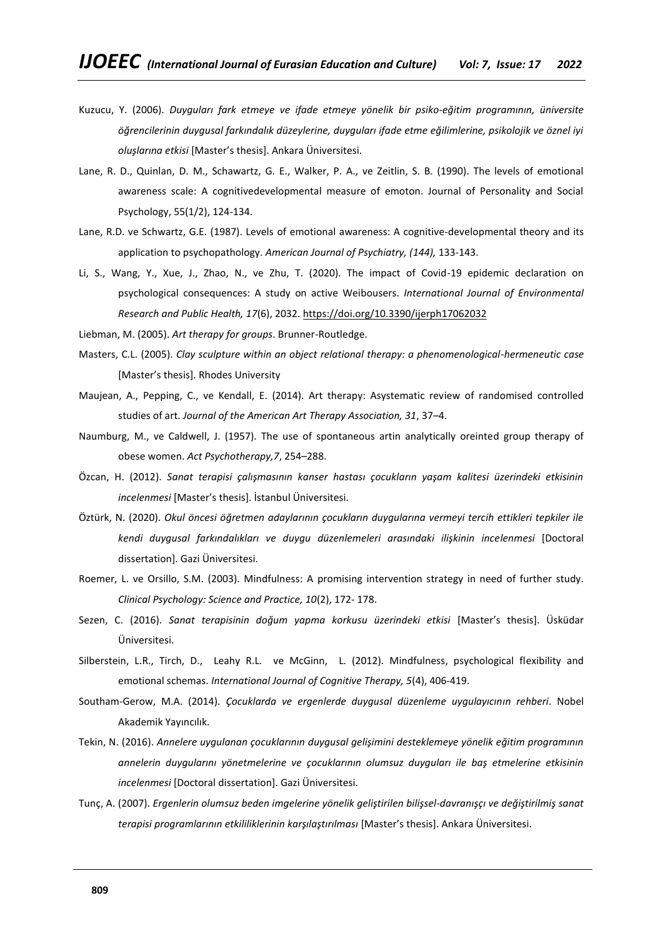- Kuzucu, Y. (2006). *Duyguları fark etmeye ve ifade etmeye yönelik bir psiko-eğitim programının, üniversite öğrencilerinin duygusal farkındalık düzeylerine, duyguları ifade etme eğilimlerine, psikolojik ve öznel iyi oluşlarına etkisi* [Master's thesis]. Ankara Üniversitesi.
- Lane, R. D., Quinlan, D. M., Schawartz, G. E., Walker, P. A., ve Zeitlin, S. B. (1990). The levels of emotional awareness scale: A cognitivedevelopmental measure of emoton. Journal of Personality and Social Psychology, 55(1/2), 124-134.
- Lane, R.D. ve Schwartz, G.E. (1987). Levels of emotional awareness: A cognitive-developmental theory and its application to psychopathology. *American Journal of Psychiatry, (144),* 133-143.
- Li, S., Wang, Y., Xue, J., Zhao, N., ve Zhu, T. (2020). The impact of Covid-19 epidemic declaration on psychological consequences: A study on active Weibousers. *International Journal of Environmental Research and Public Health, 17*(6), 2032.<https://doi.org/10.3390/ijerph17062032>
- Liebman, M. (2005). *Art therapy for groups*. Brunner-Routledge.
- Masters, C.L. (2005). *Clay sculpture within an object relational therapy: a phenomenological-hermeneutic case* [Master's thesis]. Rhodes University
- Maujean, A., Pepping, C., ve Kendall, E. (2014). Art therapy: Asystematic review of randomised controlled studies of art. *Journal of the American Art Therapy Association, 31*, 37–4.
- Naumburg, M., ve Caldwell, J. (1957). The use of spontaneous artin analytically oreinted group therapy of obese women. *Act Psychotherapy,7*, 254–288.
- Özcan, H. (2012). *Sanat terapisi çalışmasının kanser hastası çocukların yaşam kalitesi üzerindeki etkisinin incelenmesi* [Master's thesis]. İstanbul Üniversitesi.
- Öztürk, N. (2020). *Okul öncesi öğretmen adaylarının çocukların duygularına vermeyi tercih ettikleri tepkiler ile kendi duygusal farkındalıkları ve duygu düzenlemeleri arasındaki ilişkinin incelenmesi* [Doctoral dissertation]. Gazi Üniversitesi.
- Roemer, L. ve Orsillo, S.M. (2003). Mindfulness: A promising intervention strategy in need of further study. *Clinical Psychology: Science and Practice, 10*(2), 172- 178.
- Sezen, C. (2016). *Sanat terapisinin doğum yapma korkusu üzerindeki etkisi* [Master's thesis]. Üsküdar Üniversitesi.
- Silberstein, L.R., Tirch, D., Leahy R.L. ve McGinn, L. (2012). Mindfulness, psychological flexibility and emotional schemas. *International Journal of Cognitive Therapy, 5*(4), 406-419.
- Southam-Gerow, M.A. (2014). *Çocuklarda ve ergenlerde duygusal düzenleme uygulayıcının rehberi*. Nobel Akademik Yayıncılık.
- Tekin, N. (2016). *Annelere uygulanan çocuklarının duygusal gelişimini desteklemeye yönelik eğitim programının annelerin duygularını yönetmelerine ve çocuklarının olumsuz duyguları ile baş etmelerine etkisinin incelenmesi* [Doctoral dissertation]. Gazi Üniversitesi.
- Tunç, A. (2007). *Ergenlerin olumsuz beden imgelerine yönelik geliştirilen bilişsel-davranışçı ve değiştirilmiş sanat terapisi programlarının etkililiklerinin karşılaştırılması* [Master's thesis]. Ankara Üniversitesi.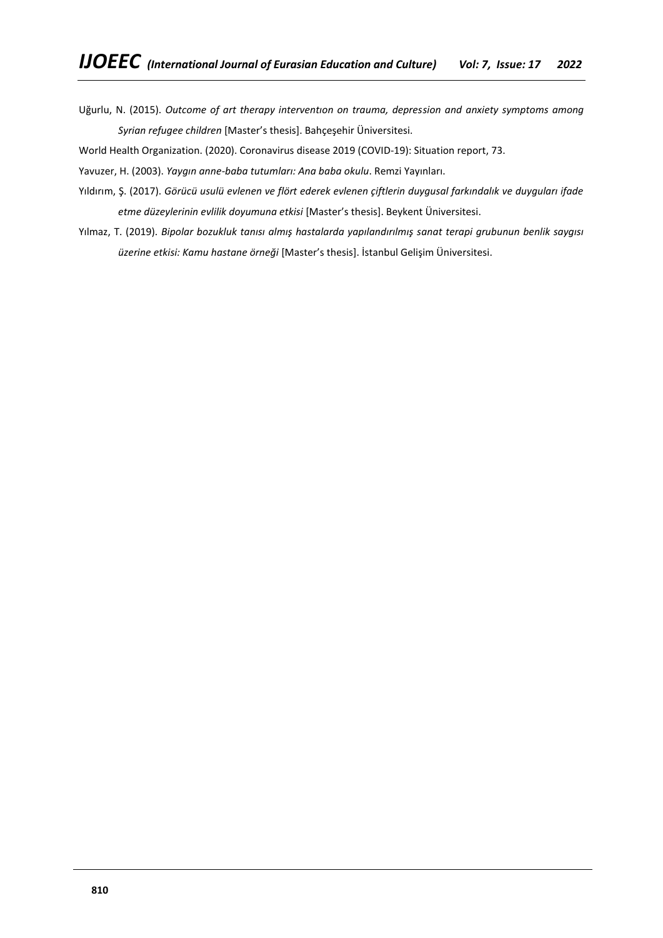Uğurlu, N. (2015). *Outcome of art therapy interventıon on trauma, depression and anxiety symptoms among Syrian refugee children* [Master's thesis]. Bahçeşehir Üniversitesi.

World Health Organization. (2020). Coronavirus disease 2019 (COVID-19): Situation report, 73.

Yavuzer, H. (2003). *Yaygın anne-baba tutumları: Ana baba okulu*. Remzi Yayınları.

- Yıldırım, Ş. (2017). *Görücü usulü evlenen ve flört ederek evlenen çiftlerin duygusal farkındalık ve duyguları ifade etme düzeylerinin evlilik doyumuna etkisi* [Master's thesis]. Beykent Üniversitesi.
- Yılmaz, T. (2019). *Bipolar bozukluk tanısı almış hastalarda yapılandırılmış sanat terapi grubunun benlik saygısı üzerine etkisi: Kamu hastane örneği* [Master's thesis]. İstanbul Gelişim Üniversitesi.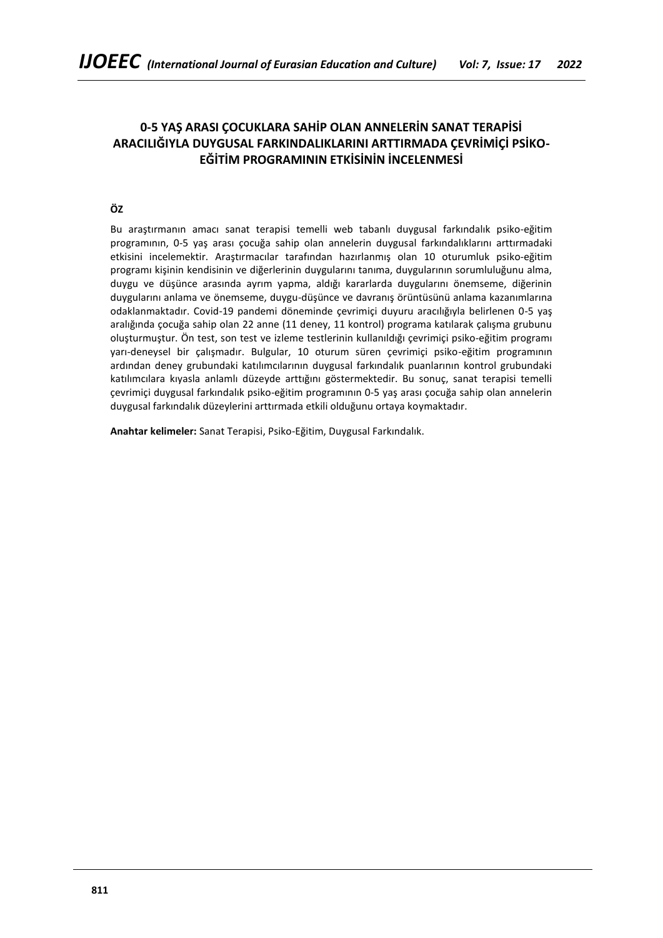# **0-5 YAŞ ARASI ÇOCUKLARA SAHİP OLAN ANNELERİN SANAT TERAPİSİ ARACILIĞIYLA DUYGUSAL FARKINDALIKLARINI ARTTIRMADA ÇEVRİMİÇİ PSİKO-EĞİTİM PROGRAMININ ETKİSİNİN İNCELENMESİ**

# **ÖZ**

Bu araştırmanın amacı sanat terapisi temelli web tabanlı duygusal farkındalık psiko-eğitim programının, 0-5 yaş arası çocuğa sahip olan annelerin duygusal farkındalıklarını arttırmadaki etkisini incelemektir. Araştırmacılar tarafından hazırlanmış olan 10 oturumluk psiko-eğitim programı kişinin kendisinin ve diğerlerinin duygularını tanıma, duygularının sorumluluğunu alma, duygu ve düşünce arasında ayrım yapma, aldığı kararlarda duygularını önemseme, diğerinin duygularını anlama ve önemseme, duygu-düşünce ve davranış örüntüsünü anlama kazanımlarına odaklanmaktadır. Covid-19 pandemi döneminde çevrimiçi duyuru aracılığıyla belirlenen 0-5 yaş aralığında çocuğa sahip olan 22 anne (11 deney, 11 kontrol) programa katılarak çalışma grubunu oluşturmuştur. Ön test, son test ve izleme testlerinin kullanıldığı çevrimiçi psiko-eğitim programı yarı-deneysel bir çalışmadır. Bulgular, 10 oturum süren çevrimiçi psiko-eğitim programının ardından deney grubundaki katılımcılarının duygusal farkındalık puanlarının kontrol grubundaki katılımcılara kıyasla anlamlı düzeyde arttığını göstermektedir. Bu sonuç, sanat terapisi temelli çevrimiçi duygusal farkındalık psiko-eğitim programının 0-5 yaş arası çocuğa sahip olan annelerin duygusal farkındalık düzeylerini arttırmada etkili olduğunu ortaya koymaktadır.

**Anahtar kelimeler:** Sanat Terapisi, Psiko-Eğitim, Duygusal Farkındalık.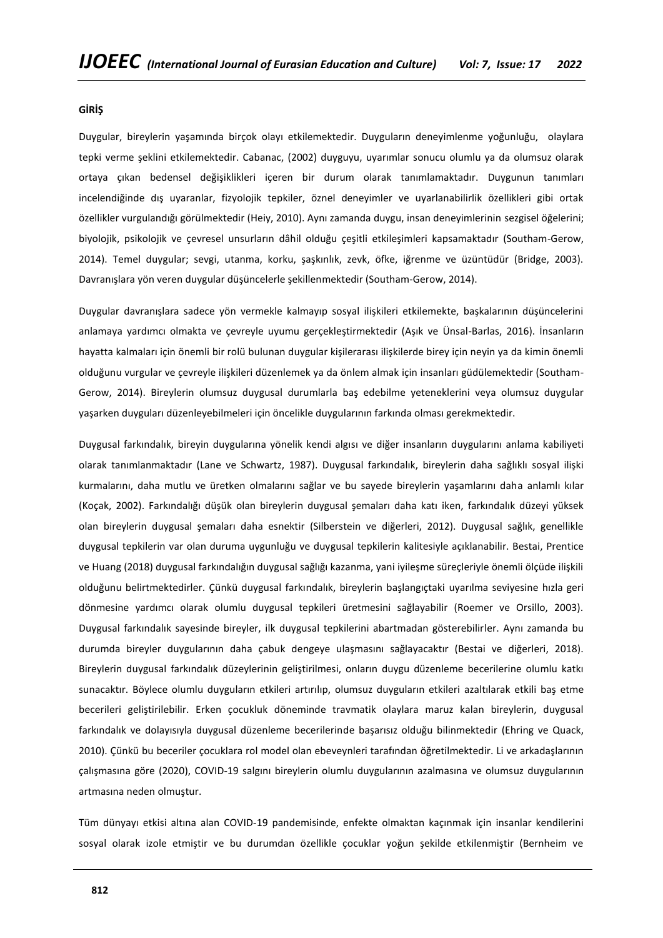### **GİRİŞ**

Duygular, bireylerin yaşamında birçok olayı etkilemektedir. Duyguların deneyimlenme yoğunluğu, olaylara tepki verme şeklini etkilemektedir. Cabanac, (2002) duyguyu, uyarımlar sonucu olumlu ya da olumsuz olarak ortaya çıkan bedensel değişiklikleri içeren bir durum olarak tanımlamaktadır. Duygunun tanımları incelendiğinde dış uyaranlar, fizyolojik tepkiler, öznel deneyimler ve uyarlanabilirlik özellikleri gibi ortak özellikler vurgulandığı görülmektedir (Heiy, 2010). Aynı zamanda duygu, insan deneyimlerinin sezgisel öğelerini; biyolojik, psikolojik ve çevresel unsurların dâhil olduğu çeşitli etkileşimleri kapsamaktadır (Southam-Gerow, 2014). Temel duygular; sevgi, utanma, korku, şaşkınlık, zevk, öfke, iğrenme ve üzüntüdür (Bridge, 2003). Davranışlara yön veren duygular düşüncelerle şekillenmektedir (Southam-Gerow, 2014).

Duygular davranışlara sadece yön vermekle kalmayıp sosyal ilişkileri etkilemekte, başkalarının düşüncelerini anlamaya yardımcı olmakta ve çevreyle uyumu gerçekleştirmektedir (Aşık ve Ünsal-Barlas, 2016). İnsanların hayatta kalmaları için önemli bir rolü bulunan duygular kişilerarası ilişkilerde birey için neyin ya da kimin önemli olduğunu vurgular ve çevreyle ilişkileri düzenlemek ya da önlem almak için insanları güdülemektedir (Southam-Gerow, 2014). Bireylerin olumsuz duygusal durumlarla baş edebilme yeteneklerini veya olumsuz duygular yaşarken duyguları düzenleyebilmeleri için öncelikle duygularının farkında olması gerekmektedir.

Duygusal farkındalık, bireyin duygularına yönelik kendi algısı ve diğer insanların duygularını anlama kabiliyeti olarak tanımlanmaktadır (Lane ve Schwartz, 1987). Duygusal farkındalık, bireylerin daha sağlıklı sosyal ilişki kurmalarını, daha mutlu ve üretken olmalarını sağlar ve bu sayede bireylerin yaşamlarını daha anlamlı kılar (Koçak, 2002). Farkındalığı düşük olan bireylerin duygusal şemaları daha katı iken, farkındalık düzeyi yüksek olan bireylerin duygusal şemaları daha esnektir (Silberstein ve diğerleri, 2012). Duygusal sağlık, genellikle duygusal tepkilerin var olan duruma uygunluğu ve duygusal tepkilerin kalitesiyle açıklanabilir. Bestai, Prentice ve Huang (2018) duygusal farkındalığın duygusal sağlığı kazanma, yani iyileşme süreçleriyle önemli ölçüde ilişkili olduğunu belirtmektedirler. Çünkü duygusal farkındalık, bireylerin başlangıçtaki uyarılma seviyesine hızla geri dönmesine yardımcı olarak olumlu duygusal tepkileri üretmesini sağlayabilir (Roemer ve Orsillo, 2003). Duygusal farkındalık sayesinde bireyler, ilk duygusal tepkilerini abartmadan gösterebilirler. Aynı zamanda bu durumda bireyler duygularının daha çabuk dengeye ulaşmasını sağlayacaktır (Bestai ve diğerleri, 2018). Bireylerin duygusal farkındalık düzeylerinin geliştirilmesi, onların duygu düzenleme becerilerine olumlu katkı sunacaktır. Böylece olumlu duyguların etkileri artırılıp, olumsuz duyguların etkileri azaltılarak etkili baş etme becerileri geliştirilebilir. Erken çocukluk döneminde travmatik olaylara maruz kalan bireylerin, duygusal farkındalık ve dolayısıyla duygusal düzenleme becerilerinde başarısız olduğu bilinmektedir (Ehring ve Quack, 2010). Çünkü bu beceriler çocuklara rol model olan ebeveynleri tarafından öğretilmektedir. Li ve arkadaşlarının çalışmasına göre (2020), COVID-19 salgını bireylerin olumlu duygularının azalmasına ve olumsuz duygularının artmasına neden olmuştur.

Tüm dünyayı etkisi altına alan COVID-19 pandemisinde, enfekte olmaktan kaçınmak için insanlar kendilerini sosyal olarak izole etmiştir ve bu durumdan özellikle çocuklar yoğun şekilde etkilenmiştir (Bernheim ve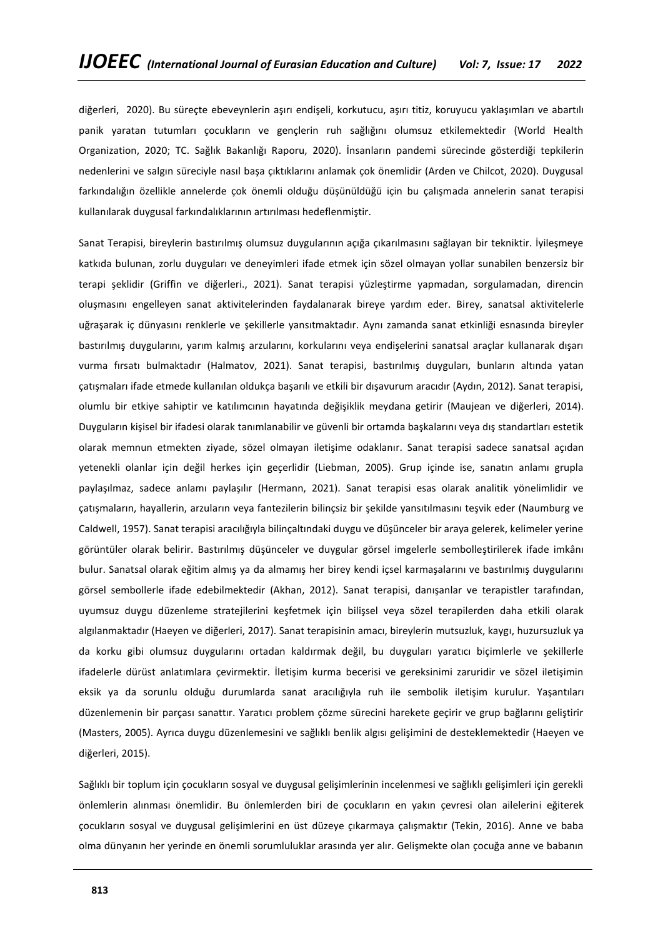diğerleri, 2020). Bu süreçte ebeveynlerin aşırı endişeli, korkutucu, aşırı titiz, koruyucu yaklaşımları ve abartılı panik yaratan tutumları çocukların ve gençlerin ruh sağlığını olumsuz etkilemektedir (World Health Organization, 2020; TC. Sağlık Bakanlığı Raporu, 2020). İnsanların pandemi sürecinde gösterdiği tepkilerin nedenlerini ve salgın süreciyle nasıl başa çıktıklarını anlamak çok önemlidir (Arden ve Chilcot, 2020). Duygusal farkındalığın özellikle annelerde çok önemli olduğu düşünüldüğü için bu çalışmada annelerin sanat terapisi kullanılarak duygusal farkındalıklarının artırılması hedeflenmiştir.

Sanat Terapisi, bireylerin bastırılmış olumsuz duygularının açığa çıkarılmasını sağlayan bir tekniktir. İyileşmeye katkıda bulunan, zorlu duyguları ve deneyimleri ifade etmek için sözel olmayan yollar sunabilen benzersiz bir terapi şeklidir (Griffin ve diğerleri., 2021). Sanat terapisi yüzleştirme yapmadan, sorgulamadan, direncin oluşmasını engelleyen sanat aktivitelerinden faydalanarak bireye yardım eder. Birey, sanatsal aktivitelerle uğraşarak iç dünyasını renklerle ve şekillerle yansıtmaktadır. Aynı zamanda sanat etkinliği esnasında bireyler bastırılmış duygularını, yarım kalmış arzularını, korkularını veya endişelerini sanatsal araçlar kullanarak dışarı vurma fırsatı bulmaktadır (Halmatov, 2021). Sanat terapisi, bastırılmış duyguları, bunların altında yatan çatışmaları ifade etmede kullanılan oldukça başarılı ve etkili bir dışavurum aracıdır (Aydın, 2012). Sanat terapisi, olumlu bir etkiye sahiptir ve katılımcının hayatında değişiklik meydana getirir (Maujean ve diğerleri, 2014). Duyguların kişisel bir ifadesi olarak tanımlanabilir ve güvenli bir ortamda başkalarını veya dış standartları estetik olarak memnun etmekten ziyade, sözel olmayan iletişime odaklanır. Sanat terapisi sadece sanatsal açıdan yetenekli olanlar için değil herkes için geçerlidir (Liebman, 2005). Grup içinde ise, sanatın anlamı grupla paylaşılmaz, sadece anlamı paylaşılır (Hermann, 2021). Sanat terapisi esas olarak analitik yönelimlidir ve çatışmaların, hayallerin, arzuların veya fantezilerin bilinçsiz bir şekilde yansıtılmasını teşvik eder (Naumburg ve Caldwell, 1957). Sanat terapisi aracılığıyla bilinçaltındaki duygu ve düşünceler bir araya gelerek, kelimeler yerine görüntüler olarak belirir. Bastırılmış düşünceler ve duygular görsel imgelerle sembolleştirilerek ifade imkânı bulur. Sanatsal olarak eğitim almış ya da almamış her birey kendi içsel karmaşalarını ve bastırılmış duygularını görsel sembollerle ifade edebilmektedir (Akhan, 2012). Sanat terapisi, danışanlar ve terapistler tarafından, uyumsuz duygu düzenleme stratejilerini keşfetmek için bilişsel veya sözel terapilerden daha etkili olarak algılanmaktadır (Haeyen ve diğerleri, 2017). Sanat terapisinin amacı, bireylerin mutsuzluk, kaygı, huzursuzluk ya da korku gibi olumsuz duygularını ortadan kaldırmak değil, bu duyguları yaratıcı biçimlerle ve şekillerle ifadelerle dürüst anlatımlara çevirmektir. İletişim kurma becerisi ve gereksinimi zaruridir ve sözel iletişimin eksik ya da sorunlu olduğu durumlarda sanat aracılığıyla ruh ile sembolik iletişim kurulur. Yaşantıları düzenlemenin bir parçası sanattır. Yaratıcı problem çözme sürecini harekete geçirir ve grup bağlarını geliştirir (Masters, 2005). Ayrıca duygu düzenlemesini ve sağlıklı benlik algısı gelişimini de desteklemektedir (Haeyen ve diğerleri, 2015).

Sağlıklı bir toplum için çocukların sosyal ve duygusal gelişimlerinin incelenmesi ve sağlıklı gelişimleri için gerekli önlemlerin alınması önemlidir. Bu önlemlerden biri de çocukların en yakın çevresi olan ailelerini eğiterek çocukların sosyal ve duygusal gelişimlerini en üst düzeye çıkarmaya çalışmaktır (Tekin, 2016). Anne ve baba olma dünyanın her yerinde en önemli sorumluluklar arasında yer alır. Gelişmekte olan çocuğa anne ve babanın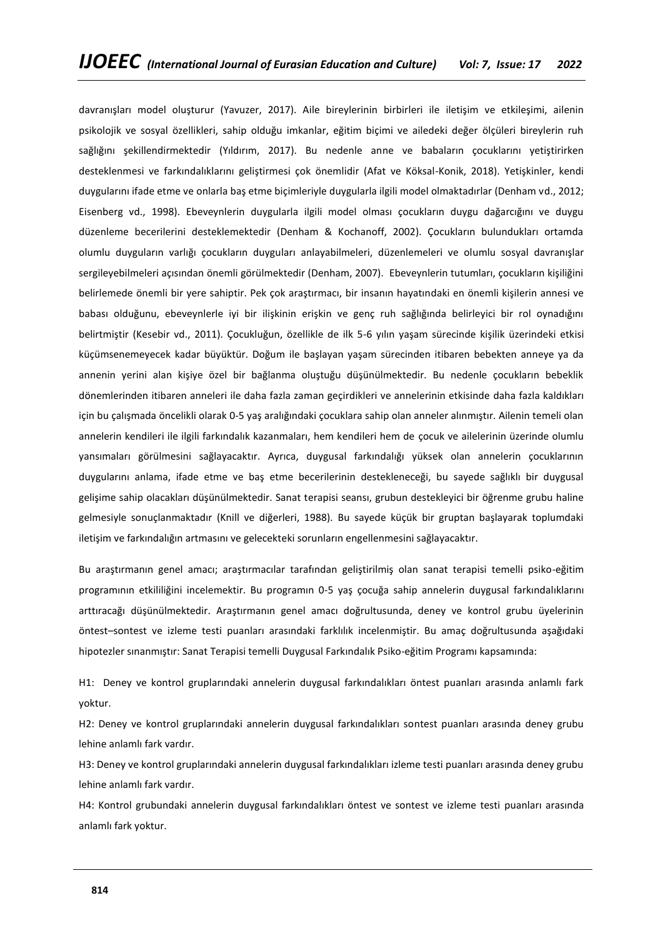davranışları model oluşturur (Yavuzer, 2017). Aile bireylerinin birbirleri ile iletişim ve etkileşimi, ailenin psikolojik ve sosyal özellikleri, sahip olduğu imkanlar, eğitim biçimi ve ailedeki değer ölçüleri bireylerin ruh sağlığını şekillendirmektedir (Yıldırım, 2017). Bu nedenle anne ve babaların çocuklarını yetiştirirken desteklenmesi ve farkındalıklarını geliştirmesi çok önemlidir (Afat ve Köksal-Konik, 2018). Yetişkinler, kendi duygularını ifade etme ve onlarla baş etme biçimleriyle duygularla ilgili model olmaktadırlar (Denham vd., 2012; Eisenberg vd., 1998). Ebeveynlerin duygularla ilgili model olması çocukların duygu dağarcığını ve duygu düzenleme becerilerini desteklemektedir (Denham & Kochanoff, 2002). Çocukların bulundukları ortamda olumlu duyguların varlığı çocukların duyguları anlayabilmeleri, düzenlemeleri ve olumlu sosyal davranışlar sergileyebilmeleri açısından önemli görülmektedir (Denham, 2007). Ebeveynlerin tutumları, çocukların kişiliğini belirlemede önemli bir yere sahiptir. Pek çok araştırmacı, bir insanın hayatındaki en önemli kişilerin annesi ve babası olduğunu, ebeveynlerle iyi bir ilişkinin erişkin ve genç ruh sağlığında belirleyici bir rol oynadığını belirtmiştir (Kesebir vd., 2011). Çocukluğun, özellikle de ilk 5-6 yılın yaşam sürecinde kişilik üzerindeki etkisi küçümsenemeyecek kadar büyüktür. Doğum ile başlayan yaşam sürecinden itibaren bebekten anneye ya da annenin yerini alan kişiye özel bir bağlanma oluştuğu düşünülmektedir. Bu nedenle çocukların bebeklik dönemlerinden itibaren anneleri ile daha fazla zaman geçirdikleri ve annelerinin etkisinde daha fazla kaldıkları için bu çalışmada öncelikli olarak 0-5 yaş aralığındaki çocuklara sahip olan anneler alınmıştır. Ailenin temeli olan annelerin kendileri ile ilgili farkındalık kazanmaları, hem kendileri hem de çocuk ve ailelerinin üzerinde olumlu yansımaları görülmesini sağlayacaktır. Ayrıca, duygusal farkındalığı yüksek olan annelerin çocuklarının duygularını anlama, ifade etme ve baş etme becerilerinin destekleneceği, bu sayede sağlıklı bir duygusal gelişime sahip olacakları düşünülmektedir. Sanat terapisi seansı, grubun destekleyici bir öğrenme grubu haline gelmesiyle sonuçlanmaktadır (Knill ve diğerleri, 1988). Bu sayede küçük bir gruptan başlayarak toplumdaki iletişim ve farkındalığın artmasını ve gelecekteki sorunların engellenmesini sağlayacaktır.

Bu araştırmanın genel amacı; araştırmacılar tarafından geliştirilmiş olan sanat terapisi temelli psiko-eğitim programının etkililiğini incelemektir. Bu programın 0-5 yaş çocuğa sahip annelerin duygusal farkındalıklarını arttıracağı düşünülmektedir. Araştırmanın genel amacı doğrultusunda, deney ve kontrol grubu üyelerinin öntest–sontest ve izleme testi puanları arasındaki farklılık incelenmiştir. Bu amaç doğrultusunda aşağıdaki hipotezler sınanmıştır: Sanat Terapisi temelli Duygusal Farkındalık Psiko-eğitim Programı kapsamında:

H1: Deney ve kontrol gruplarındaki annelerin duygusal farkındalıkları öntest puanları arasında anlamlı fark yoktur.

H2: Deney ve kontrol gruplarındaki annelerin duygusal farkındalıkları sontest puanları arasında deney grubu lehine anlamlı fark vardır.

H3: Deney ve kontrol gruplarındaki annelerin duygusal farkındalıkları izleme testi puanları arasında deney grubu lehine anlamlı fark vardır.

H4: Kontrol grubundaki annelerin duygusal farkındalıkları öntest ve sontest ve izleme testi puanları arasında anlamlı fark yoktur.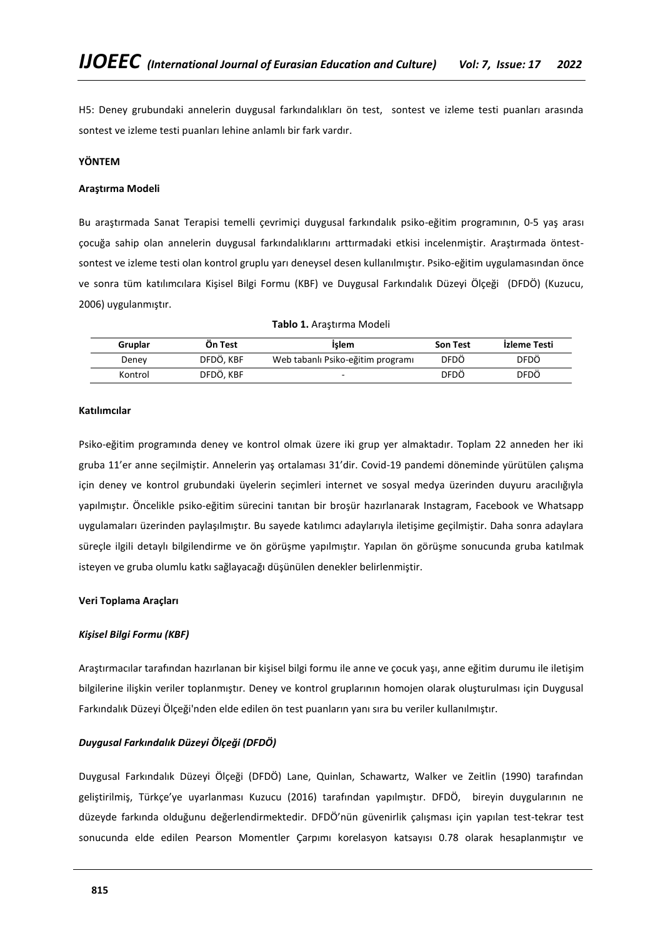H5: Deney grubundaki annelerin duygusal farkındalıkları ön test, sontest ve izleme testi puanları arasında sontest ve izleme testi puanları lehine anlamlı bir fark vardır.

# **YÖNTEM**

## **Araştırma Modeli**

Bu araştırmada Sanat Terapisi temelli çevrimiçi duygusal farkındalık psiko-eğitim programının, 0-5 yaş arası çocuğa sahip olan annelerin duygusal farkındalıklarını arttırmadaki etkisi incelenmiştir. Araştırmada öntestsontest ve izleme testi olan kontrol gruplu yarı deneysel desen kullanılmıştır. Psiko-eğitim uygulamasından önce ve sonra tüm katılımcılara Kişisel Bilgi Formu (KBF) ve Duygusal Farkındalık Düzeyi Ölçeği (DFDÖ) (Kuzucu, 2006) uygulanmıştır.

|         |           | <b>Tablo 1.</b> Arastırma Modeli  |          |              |
|---------|-----------|-----------------------------------|----------|--------------|
| Gruplar | Ön Test   | <b>İslem</b>                      | Son Test | Izleme Testi |
| Deney   | DFDÖ, KBF | Web tabanlı Psiko-eğitim programı | DFDÖ     | <b>DFDÖ</b>  |
| Kontrol | DFDÖ, KBF | -                                 | DFDÖ     | DFDÖ         |

### **Katılımcılar**

Psiko-eğitim programında deney ve kontrol olmak üzere iki grup yer almaktadır. Toplam 22 anneden her iki gruba 11'er anne seçilmiştir. Annelerin yaş ortalaması 31'dir. Covid-19 pandemi döneminde yürütülen çalışma için deney ve kontrol grubundaki üyelerin seçimleri internet ve sosyal medya üzerinden duyuru aracılığıyla yapılmıştır. Öncelikle psiko-eğitim sürecini tanıtan bir broşür hazırlanarak Instagram, Facebook ve Whatsapp uygulamaları üzerinden paylaşılmıştır. Bu sayede katılımcı adaylarıyla iletişime geçilmiştir. Daha sonra adaylara süreçle ilgili detaylı bilgilendirme ve ön görüşme yapılmıştır. Yapılan ön görüşme sonucunda gruba katılmak isteyen ve gruba olumlu katkı sağlayacağı düşünülen denekler belirlenmiştir.

## **Veri Toplama Araçları**

### *Kişisel Bilgi Formu (KBF)*

Araştırmacılar tarafından hazırlanan bir kişisel bilgi formu ile anne ve çocuk yaşı, anne eğitim durumu ile iletişim bilgilerine ilişkin veriler toplanmıştır. Deney ve kontrol gruplarının homojen olarak oluşturulması için Duygusal Farkındalık Düzeyi Ölçeği'nden elde edilen ön test puanların yanı sıra bu veriler kullanılmıştır.

## *Duygusal Farkındalık Düzeyi Ölçeği (DFDÖ)*

Duygusal Farkındalık Düzeyi Ölçeği (DFDÖ) Lane, Quinlan, Schawartz, Walker ve Zeitlin (1990) tarafından geliştirilmiş, Türkçe'ye uyarlanması Kuzucu (2016) tarafından yapılmıştır. DFDÖ, bireyin duygularının ne düzeyde farkında olduğunu değerlendirmektedir. DFDÖ'nün güvenirlik çalışması için yapılan test-tekrar test sonucunda elde edilen Pearson Momentler Çarpımı korelasyon katsayısı 0.78 olarak hesaplanmıştır ve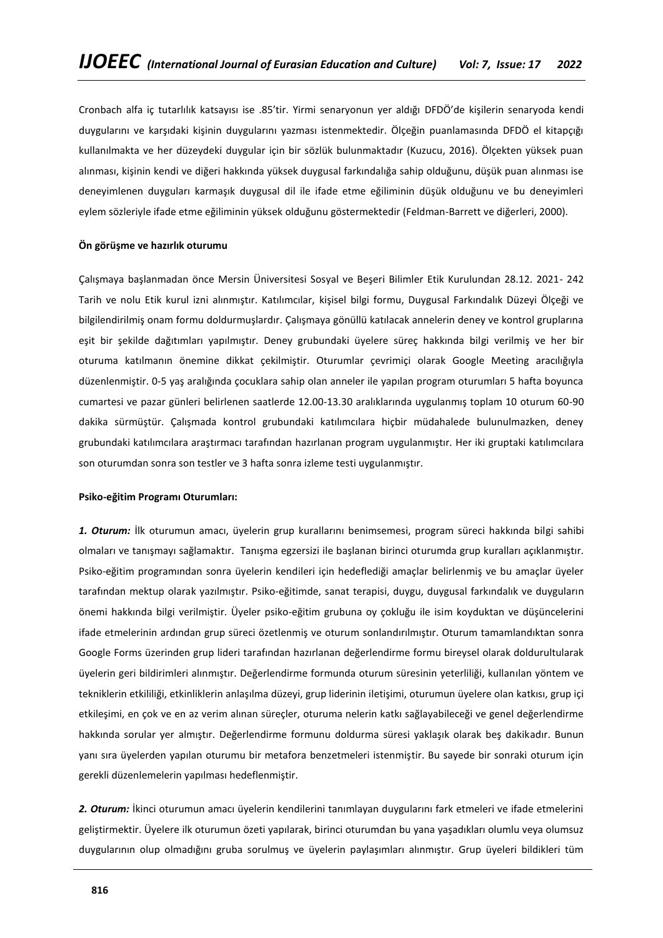Cronbach alfa iç tutarlılık katsayısı ise .85'tir. Yirmi senaryonun yer aldığı DFDÖ'de kişilerin senaryoda kendi duygularını ve karşıdaki kişinin duygularını yazması istenmektedir. Ölçeğin puanlamasında DFDÖ el kitapçığı kullanılmakta ve her düzeydeki duygular için bir sözlük bulunmaktadır (Kuzucu, 2016). Ölçekten yüksek puan alınması, kişinin kendi ve diğeri hakkında yüksek duygusal farkındalığa sahip olduğunu, düşük puan alınması ise deneyimlenen duyguları karmaşık duygusal dil ile ifade etme eğiliminin düşük olduğunu ve bu deneyimleri eylem sözleriyle ifade etme eğiliminin yüksek olduğunu göstermektedir (Feldman-Barrett ve diğerleri, 2000).

### **Ön görüşme ve hazırlık oturumu**

Çalışmaya başlanmadan önce Mersin Üniversitesi Sosyal ve Beşeri Bilimler Etik Kurulundan 28.12. 2021- 242 Tarih ve nolu Etik kurul izni alınmıştır. Katılımcılar, kişisel bilgi formu, Duygusal Farkındalık Düzeyi Ölçeği ve bilgilendirilmiş onam formu doldurmuşlardır. Çalışmaya gönüllü katılacak annelerin deney ve kontrol gruplarına eşit bir şekilde dağıtımları yapılmıştır. Deney grubundaki üyelere süreç hakkında bilgi verilmiş ve her bir oturuma katılmanın önemine dikkat çekilmiştir. Oturumlar çevrimiçi olarak Google Meeting aracılığıyla düzenlenmiştir. 0-5 yaş aralığında çocuklara sahip olan anneler ile yapılan program oturumları 5 hafta boyunca cumartesi ve pazar günleri belirlenen saatlerde 12.00-13.30 aralıklarında uygulanmış toplam 10 oturum 60-90 dakika sürmüştür. Çalışmada kontrol grubundaki katılımcılara hiçbir müdahalede bulunulmazken, deney grubundaki katılımcılara araştırmacı tarafından hazırlanan program uygulanmıştır. Her iki gruptaki katılımcılara son oturumdan sonra son testler ve 3 hafta sonra izleme testi uygulanmıştır.

### **Psiko-eğitim Programı Oturumları:**

*1. Oturum:* İlk oturumun amacı, üyelerin grup kurallarını benimsemesi, program süreci hakkında bilgi sahibi olmaları ve tanışmayı sağlamaktır. Tanışma egzersizi ile başlanan birinci oturumda grup kuralları açıklanmıştır. Psiko-eğitim programından sonra üyelerin kendileri için hedeflediği amaçlar belirlenmiş ve bu amaçlar üyeler tarafından mektup olarak yazılmıştır. Psiko-eğitimde, sanat terapisi, duygu, duygusal farkındalık ve duyguların önemi hakkında bilgi verilmiştir. Üyeler psiko-eğitim grubuna oy çokluğu ile isim koyduktan ve düşüncelerini ifade etmelerinin ardından grup süreci özetlenmiş ve oturum sonlandırılmıştır. Oturum tamamlandıktan sonra Google Forms üzerinden grup lideri tarafından hazırlanan değerlendirme formu bireysel olarak doldurultularak üyelerin geri bildirimleri alınmıştır. Değerlendirme formunda oturum süresinin yeterliliği, kullanılan yöntem ve tekniklerin etkililiği, etkinliklerin anlaşılma düzeyi, grup liderinin iletişimi, oturumun üyelere olan katkısı, grup içi etkileşimi, en çok ve en az verim alınan süreçler, oturuma nelerin katkı sağlayabileceği ve genel değerlendirme hakkında sorular yer almıştır. Değerlendirme formunu doldurma süresi yaklaşık olarak beş dakikadır. Bunun yanı sıra üyelerden yapılan oturumu bir metafora benzetmeleri istenmiştir. Bu sayede bir sonraki oturum için gerekli düzenlemelerin yapılması hedeflenmiştir.

*2. Oturum:* İkinci oturumun amacı üyelerin kendilerini tanımlayan duygularını fark etmeleri ve ifade etmelerini geliştirmektir. Üyelere ilk oturumun özeti yapılarak, birinci oturumdan bu yana yaşadıkları olumlu veya olumsuz duygularının olup olmadığını gruba sorulmuş ve üyelerin paylaşımları alınmıştır. Grup üyeleri bildikleri tüm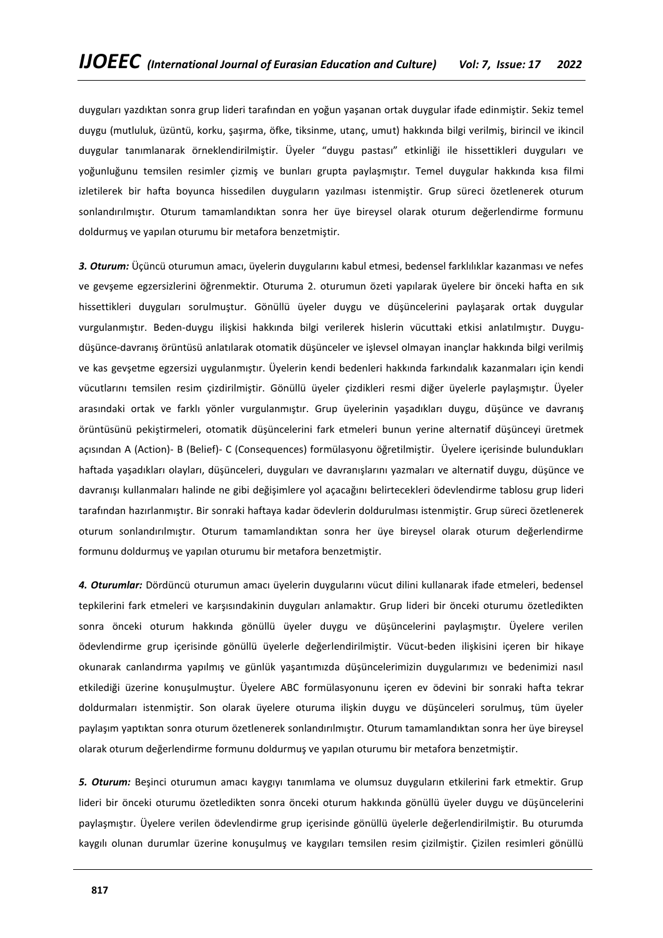duyguları yazdıktan sonra grup lideri tarafından en yoğun yaşanan ortak duygular ifade edinmiştir. Sekiz temel duygu (mutluluk, üzüntü, korku, şaşırma, öfke, tiksinme, utanç, umut) hakkında bilgi verilmiş, birincil ve ikincil duygular tanımlanarak örneklendirilmiştir. Üyeler "duygu pastası" etkinliği ile hissettikleri duyguları ve yoğunluğunu temsilen resimler çizmiş ve bunları grupta paylaşmıştır. Temel duygular hakkında kısa filmi izletilerek bir hafta boyunca hissedilen duyguların yazılması istenmiştir. Grup süreci özetlenerek oturum sonlandırılmıştır. Oturum tamamlandıktan sonra her üye bireysel olarak oturum değerlendirme formunu doldurmuş ve yapılan oturumu bir metafora benzetmiştir.

*3. Oturum:* Üçüncü oturumun amacı, üyelerin duygularını kabul etmesi, bedensel farklılıklar kazanması ve nefes ve gevşeme egzersizlerini öğrenmektir. Oturuma 2. oturumun özeti yapılarak üyelere bir önceki hafta en sık hissettikleri duyguları sorulmuştur. Gönüllü üyeler duygu ve düşüncelerini paylaşarak ortak duygular vurgulanmıştır. Beden-duygu ilişkisi hakkında bilgi verilerek hislerin vücuttaki etkisi anlatılmıştır. Duygudüşünce-davranış örüntüsü anlatılarak otomatik düşünceler ve işlevsel olmayan inançlar hakkında bilgi verilmiş ve kas gevşetme egzersizi uygulanmıştır. Üyelerin kendi bedenleri hakkında farkındalık kazanmaları için kendi vücutlarını temsilen resim çizdirilmiştir. Gönüllü üyeler çizdikleri resmi diğer üyelerle paylaşmıştır. Üyeler arasındaki ortak ve farklı yönler vurgulanmıştır. Grup üyelerinin yaşadıkları duygu, düşünce ve davranış örüntüsünü pekiştirmeleri, otomatik düşüncelerini fark etmeleri bunun yerine alternatif düşünceyi üretmek açısından A (Action)- B (Belief)- C (Consequences) formülasyonu öğretilmiştir. Üyelere içerisinde bulundukları haftada yaşadıkları olayları, düşünceleri, duyguları ve davranışlarını yazmaları ve alternatif duygu, düşünce ve davranışı kullanmaları halinde ne gibi değişimlere yol açacağını belirtecekleri ödevlendirme tablosu grup lideri tarafından hazırlanmıştır. Bir sonraki haftaya kadar ödevlerin doldurulması istenmiştir. Grup süreci özetlenerek oturum sonlandırılmıştır. Oturum tamamlandıktan sonra her üye bireysel olarak oturum değerlendirme formunu doldurmuş ve yapılan oturumu bir metafora benzetmiştir.

*4. Oturumlar:* Dördüncü oturumun amacı üyelerin duygularını vücut dilini kullanarak ifade etmeleri, bedensel tepkilerini fark etmeleri ve karşısındakinin duyguları anlamaktır. Grup lideri bir önceki oturumu özetledikten sonra önceki oturum hakkında gönüllü üyeler duygu ve düşüncelerini paylaşmıştır. Üyelere verilen ödevlendirme grup içerisinde gönüllü üyelerle değerlendirilmiştir. Vücut-beden ilişkisini içeren bir hikaye okunarak canlandırma yapılmış ve günlük yaşantımızda düşüncelerimizin duygularımızı ve bedenimizi nasıl etkilediği üzerine konuşulmuştur. Üyelere ABC formülasyonunu içeren ev ödevini bir sonraki hafta tekrar doldurmaları istenmiştir. Son olarak üyelere oturuma ilişkin duygu ve düşünceleri sorulmuş, tüm üyeler paylaşım yaptıktan sonra oturum özetlenerek sonlandırılmıştır. Oturum tamamlandıktan sonra her üye bireysel olarak oturum değerlendirme formunu doldurmuş ve yapılan oturumu bir metafora benzetmiştir.

*5. Oturum:* Beşinci oturumun amacı kaygıyı tanımlama ve olumsuz duyguların etkilerini fark etmektir. Grup lideri bir önceki oturumu özetledikten sonra önceki oturum hakkında gönüllü üyeler duygu ve düşüncelerini paylaşmıştır. Üyelere verilen ödevlendirme grup içerisinde gönüllü üyelerle değerlendirilmiştir. Bu oturumda kaygılı olunan durumlar üzerine konuşulmuş ve kaygıları temsilen resim çizilmiştir. Çizilen resimleri gönüllü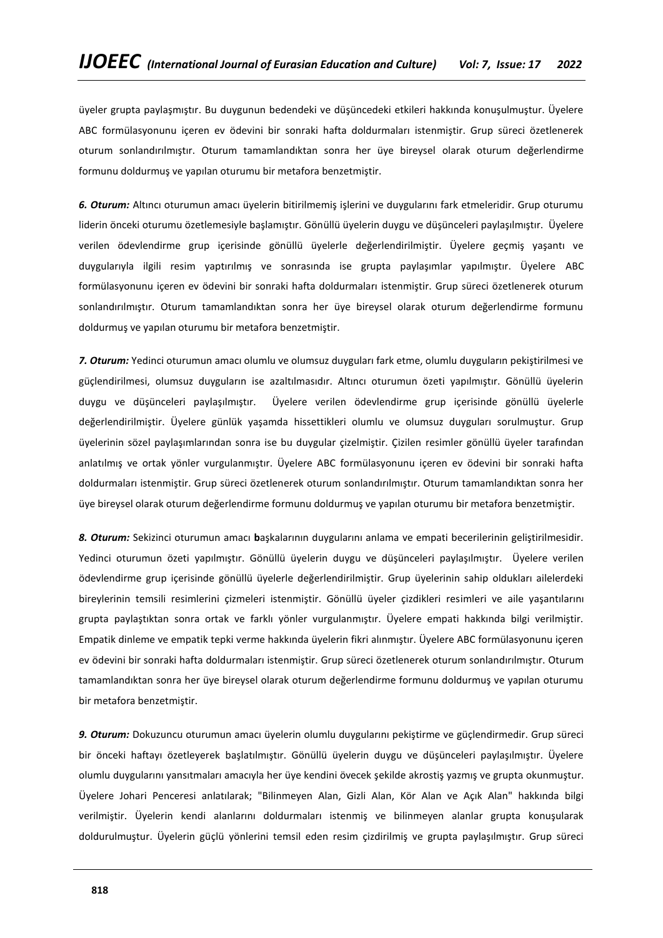üyeler grupta paylaşmıştır. Bu duygunun bedendeki ve düşüncedeki etkileri hakkında konuşulmuştur. Üyelere ABC formülasyonunu içeren ev ödevini bir sonraki hafta doldurmaları istenmiştir. Grup süreci özetlenerek oturum sonlandırılmıştır. Oturum tamamlandıktan sonra her üye bireysel olarak oturum değerlendirme formunu doldurmuş ve yapılan oturumu bir metafora benzetmiştir.

*6. Oturum:* Altıncı oturumun amacı üyelerin bitirilmemiş işlerini ve duygularını fark etmeleridir. Grup oturumu liderin önceki oturumu özetlemesiyle başlamıştır. Gönüllü üyelerin duygu ve düşünceleri paylaşılmıştır. Üyelere verilen ödevlendirme grup içerisinde gönüllü üyelerle değerlendirilmiştir. Üyelere geçmiş yaşantı ve duygularıyla ilgili resim yaptırılmış ve sonrasında ise grupta paylaşımlar yapılmıştır. Üyelere ABC formülasyonunu içeren ev ödevini bir sonraki hafta doldurmaları istenmiştir. Grup süreci özetlenerek oturum sonlandırılmıştır. Oturum tamamlandıktan sonra her üye bireysel olarak oturum değerlendirme formunu doldurmuş ve yapılan oturumu bir metafora benzetmiştir.

*7. Oturum:* Yedinci oturumun amacı olumlu ve olumsuz duyguları fark etme, olumlu duyguların pekiştirilmesi ve güçlendirilmesi, olumsuz duyguların ise azaltılmasıdır. Altıncı oturumun özeti yapılmıştır. Gönüllü üyelerin duygu ve düşünceleri paylaşılmıştır. Üyelere verilen ödevlendirme grup içerisinde gönüllü üyelerle değerlendirilmiştir. Üyelere günlük yaşamda hissettikleri olumlu ve olumsuz duyguları sorulmuştur. Grup üyelerinin sözel paylaşımlarından sonra ise bu duygular çizelmiştir. Çizilen resimler gönüllü üyeler tarafından anlatılmış ve ortak yönler vurgulanmıştır. Üyelere ABC formülasyonunu içeren ev ödevini bir sonraki hafta doldurmaları istenmiştir. Grup süreci özetlenerek oturum sonlandırılmıştır. Oturum tamamlandıktan sonra her üye bireysel olarak oturum değerlendirme formunu doldurmuş ve yapılan oturumu bir metafora benzetmiştir.

*8. Oturum:* Sekizinci oturumun amacı **b**aşkalarının duygularını anlama ve empati becerilerinin geliştirilmesidir. Yedinci oturumun özeti yapılmıştır. Gönüllü üyelerin duygu ve düşünceleri paylaşılmıştır. Üyelere verilen ödevlendirme grup içerisinde gönüllü üyelerle değerlendirilmiştir. Grup üyelerinin sahip oldukları ailelerdeki bireylerinin temsili resimlerini çizmeleri istenmiştir. Gönüllü üyeler çizdikleri resimleri ve aile yaşantılarını grupta paylaştıktan sonra ortak ve farklı yönler vurgulanmıştır. Üyelere empati hakkında bilgi verilmiştir. Empatik dinleme ve empatik tepki verme hakkında üyelerin fikri alınmıştır. Üyelere ABC formülasyonunu içeren ev ödevini bir sonraki hafta doldurmaları istenmiştir. Grup süreci özetlenerek oturum sonlandırılmıştır. Oturum tamamlandıktan sonra her üye bireysel olarak oturum değerlendirme formunu doldurmuş ve yapılan oturumu bir metafora benzetmiştir.

*9. Oturum:* Dokuzuncu oturumun amacı üyelerin olumlu duygularını pekiştirme ve güçlendirmedir. Grup süreci bir önceki haftayı özetleyerek başlatılmıştır. Gönüllü üyelerin duygu ve düşünceleri paylaşılmıştır. Üyelere olumlu duygularını yansıtmaları amacıyla her üye kendini övecek şekilde akrostiş yazmış ve grupta okunmuştur. Üyelere Johari Penceresi anlatılarak; "Bilinmeyen Alan, Gizli Alan, Kör Alan ve Açık Alan" hakkında bilgi verilmiştir. Üyelerin kendi alanlarını doldurmaları istenmiş ve bilinmeyen alanlar grupta konuşularak doldurulmuştur. Üyelerin güçlü yönlerini temsil eden resim çizdirilmiş ve grupta paylaşılmıştır. Grup süreci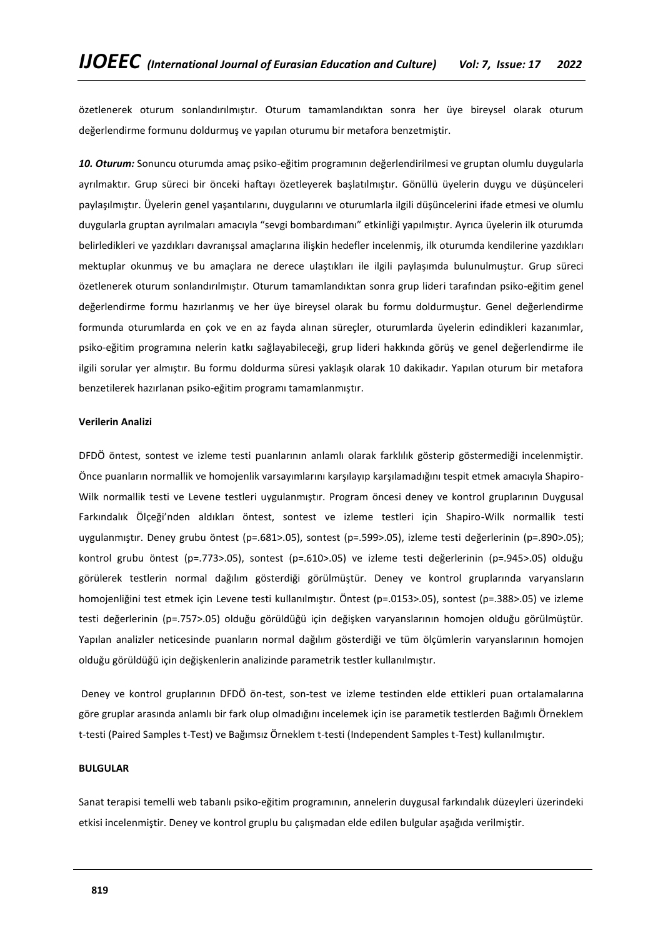özetlenerek oturum sonlandırılmıştır. Oturum tamamlandıktan sonra her üye bireysel olarak oturum değerlendirme formunu doldurmuş ve yapılan oturumu bir metafora benzetmiştir.

*10. Oturum:* Sonuncu oturumda amaç psiko-eğitim programının değerlendirilmesi ve gruptan olumlu duygularla ayrılmaktır. Grup süreci bir önceki haftayı özetleyerek başlatılmıştır. Gönüllü üyelerin duygu ve düşünceleri paylaşılmıştır. Üyelerin genel yaşantılarını, duygularını ve oturumlarla ilgili düşüncelerini ifade etmesi ve olumlu duygularla gruptan ayrılmaları amacıyla "sevgi bombardımanı" etkinliği yapılmıştır. Ayrıca üyelerin ilk oturumda belirledikleri ve yazdıkları davranışsal amaçlarına ilişkin hedefler incelenmiş, ilk oturumda kendilerine yazdıkları mektuplar okunmuş ve bu amaçlara ne derece ulaştıkları ile ilgili paylaşımda bulunulmuştur. Grup süreci özetlenerek oturum sonlandırılmıştır. Oturum tamamlandıktan sonra grup lideri tarafından psiko-eğitim genel değerlendirme formu hazırlanmış ve her üye bireysel olarak bu formu doldurmuştur. Genel değerlendirme formunda oturumlarda en çok ve en az fayda alınan süreçler, oturumlarda üyelerin edindikleri kazanımlar, psiko-eğitim programına nelerin katkı sağlayabileceği, grup lideri hakkında görüş ve genel değerlendirme ile ilgili sorular yer almıştır. Bu formu doldurma süresi yaklaşık olarak 10 dakikadır. Yapılan oturum bir metafora benzetilerek hazırlanan psiko-eğitim programı tamamlanmıştır.

### **Verilerin Analizi**

DFDÖ öntest, sontest ve izleme testi puanlarının anlamlı olarak farklılık gösterip göstermediği incelenmiştir. Önce puanların normallik ve homojenlik varsayımlarını karşılayıp karşılamadığını tespit etmek amacıyla Shapiro-Wilk normallik testi ve Levene testleri uygulanmıştır. Program öncesi deney ve kontrol gruplarının Duygusal Farkındalık Ölçeği'nden aldıkları öntest, sontest ve izleme testleri için Shapiro-Wilk normallik testi uygulanmıştır. Deney grubu öntest (p=.681>.05), sontest (p=.599>.05), izleme testi değerlerinin (p=.890>.05); kontrol grubu öntest (p=.773>.05), sontest (p=.610>.05) ve izleme testi değerlerinin (p=.945>.05) olduğu görülerek testlerin normal dağılım gösterdiği görülmüştür. Deney ve kontrol gruplarında varyansların homojenliğini test etmek için Levene testi kullanılmıştır. Öntest (p=.0153>.05), sontest (p=.388>.05) ve izleme testi değerlerinin (p=.757>.05) olduğu görüldüğü için değişken varyanslarının homojen olduğu görülmüştür. Yapılan analizler neticesinde puanların normal dağılım gösterdiği ve tüm ölçümlerin varyanslarının homojen olduğu görüldüğü için değişkenlerin analizinde parametrik testler kullanılmıştır.

Deney ve kontrol gruplarının DFDÖ ön-test, son-test ve izleme testinden elde ettikleri puan ortalamalarına göre gruplar arasında anlamlı bir fark olup olmadığını incelemek için ise parametik testlerden Bağımlı Örneklem t-testi (Paired Samples t-Test) ve Bağımsız Örneklem t-testi (Independent Samples t-Test) kullanılmıştır.

### **BULGULAR**

Sanat terapisi temelli web tabanlı psiko-eğitim programının, annelerin duygusal farkındalık düzeyleri üzerindeki etkisi incelenmiştir. Deney ve kontrol gruplu bu çalışmadan elde edilen bulgular aşağıda verilmiştir.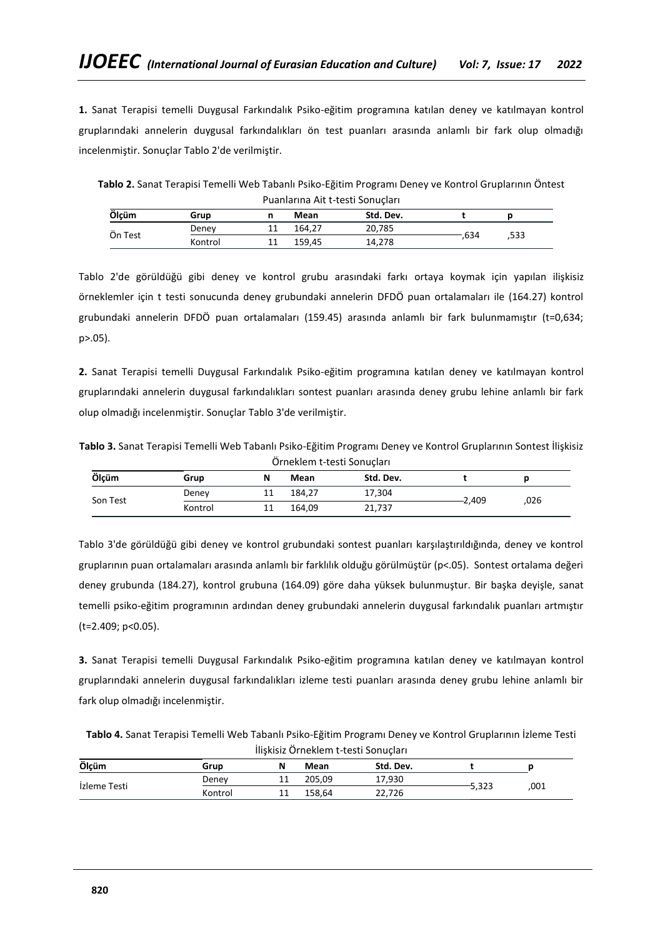**1.** Sanat Terapisi temelli Duygusal Farkındalık Psiko-eğitim programına katılan deney ve katılmayan kontrol gruplarındaki annelerin duygusal farkındalıkları ön test puanları arasında anlamlı bir fark olup olmadığı incelenmiştir. Sonuçlar Tablo 2'de verilmiştir.

**Tablo 2.** Sanat Terapisi Temelli Web Tabanlı Psiko-Eğitim Programı Deney ve Kontrol Gruplarının Öntest Puanlarına Ait t-testi Sonuçları

| Ölçüm   | Grup    |           | Mean   | Std. Dev. |      |      |
|---------|---------|-----------|--------|-----------|------|------|
| Ön Test | Deney   | ᆠ         | 164.27 | 20,785    |      |      |
|         | Kontrol | <b>TT</b> | 159,45 | 14,278    | .634 | ,533 |

Tablo 2'de görüldüğü gibi deney ve kontrol grubu arasındaki farkı ortaya koymak için yapılan ilişkisiz örneklemler için t testi sonucunda deney grubundaki annelerin DFDÖ puan ortalamaları ile (164.27) kontrol grubundaki annelerin DFDÖ puan ortalamaları (159.45) arasında anlamlı bir fark bulunmamıştır (t=0,634; p>.05).

**2.** Sanat Terapisi temelli Duygusal Farkındalık Psiko-eğitim programına katılan deney ve katılmayan kontrol gruplarındaki annelerin duygusal farkındalıkları sontest puanları arasında deney grubu lehine anlamlı bir fark olup olmadığı incelenmiştir. Sonuçlar Tablo 3'de verilmiştir.

| Tablo 3. Sanat Terapisi Temelli Web Tabanlı Psiko-Eğitim Programı Deney ve Kontrol Gruplarının Sontest İlişkisiz |  |
|------------------------------------------------------------------------------------------------------------------|--|
| Örneklem t-testi Sonuçları                                                                                       |  |

| Ölçüm    | Grup    | Ν  | Mean   | Std. Dev. |       |      |
|----------|---------|----|--------|-----------|-------|------|
| Son Test | Deney   | 11 | 184.27 | 17,304    | 2,409 | ,026 |
|          | Kontrol | 11 | 164,09 | 21,737    |       |      |

Tablo 3'de görüldüğü gibi deney ve kontrol grubundaki sontest puanları karşılaştırıldığında, deney ve kontrol gruplarının puan ortalamaları arasında anlamlı bir farklılık olduğu görülmüştür (p<.05). Sontest ortalama değeri deney grubunda (184.27), kontrol grubuna (164.09) göre daha yüksek bulunmuştur. Bir başka deyişle, sanat temelli psiko-eğitim programının ardından deney grubundaki annelerin duygusal farkındalık puanları artmıştır (t=2.409; p<0.05).

**3.** Sanat Terapisi temelli Duygusal Farkındalık Psiko-eğitim programına katılan deney ve katılmayan kontrol gruplarındaki annelerin duygusal farkındalıkları izleme testi puanları arasında deney grubu lehine anlamlı bir fark olup olmadığı incelenmiştir.

| Tablo 4. Sanat Terapisi Temelli Web Tabanlı Psiko-Eğitim Programı Deney ve Kontrol Gruplarının İzleme Testi |
|-------------------------------------------------------------------------------------------------------------|
| İlişkisiz Örneklem t-testi Sonuçları                                                                        |

| Ölçüm        | Grup    | N  | Mean   | Std. Dev. |       |      |
|--------------|---------|----|--------|-----------|-------|------|
| İzleme Testi | Deney   | -- | 205.09 | 17,930    | 5,323 | .001 |
|              | Kontrol | -- | 158,64 | 22,726    |       |      |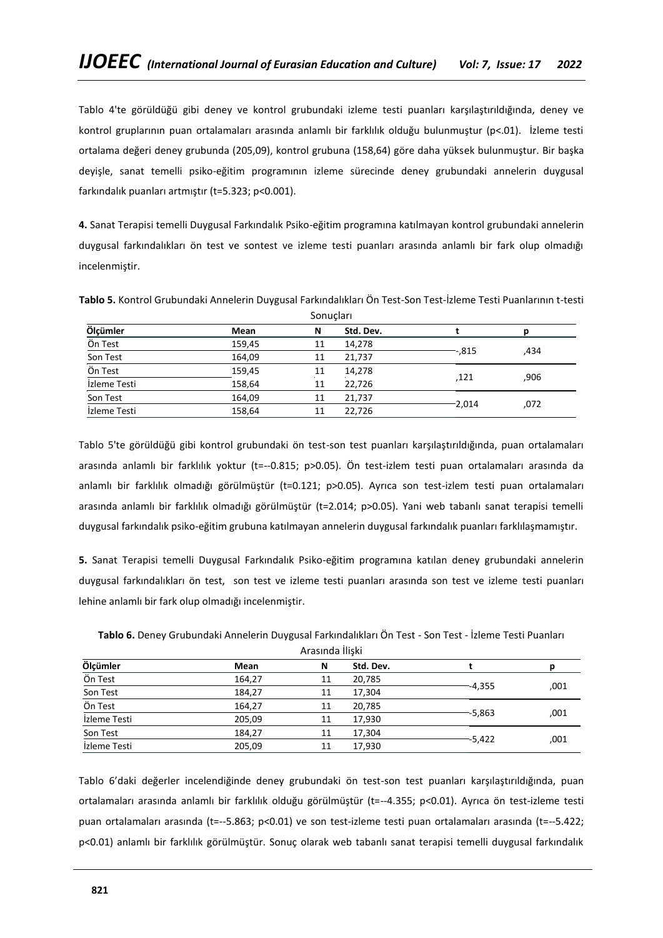Tablo 4'te görüldüğü gibi deney ve kontrol grubundaki izleme testi puanları karşılaştırıldığında, deney ve kontrol gruplarının puan ortalamaları arasında anlamlı bir farklılık olduğu bulunmuştur (p<.01). İzleme testi ortalama değeri deney grubunda (205,09), kontrol grubuna (158,64) göre daha yüksek bulunmuştur. Bir başka deyişle, sanat temelli psiko-eğitim programının izleme sürecinde deney grubundaki annelerin duygusal farkındalık puanları artmıştır (t=5.323; p<0.001).

**4.** Sanat Terapisi temelli Duygusal Farkındalık Psiko-eğitim programına katılmayan kontrol grubundaki annelerin duygusal farkındalıkları ön test ve sontest ve izleme testi puanları arasında anlamlı bir fark olup olmadığı incelenmiştir.

| Sonucları    |        |    |           |       |      |  |  |
|--------------|--------|----|-----------|-------|------|--|--|
| Ölçümler     | Mean   | N  | Std. Dev. |       |      |  |  |
| Ön Test      | 159,45 | 11 | 14,278    |       | ,434 |  |  |
| Son Test     | 164,09 | 11 | 21,737    | -,815 |      |  |  |
| Ön Test      | 159,45 | 11 | 14,278    |       | ,906 |  |  |
| İzleme Testi | 158,64 | 11 | 22,726    | ,121  |      |  |  |
| Son Test     | 164,09 | 11 | 21,737    |       | ,072 |  |  |
| İzleme Testi | 158,64 | 11 | 22.726    | 2,014 |      |  |  |

**Tablo 5.** Kontrol Grubundaki Annelerin Duygusal Farkındalıkları Ön Test-Son Test-İzleme Testi Puanlarının t-testi

Tablo 5'te görüldüğü gibi kontrol grubundaki ön test-son test puanları karşılaştırıldığında, puan ortalamaları arasında anlamlı bir farklılık yoktur (t=--0.815; p>0.05). Ön test-izlem testi puan ortalamaları arasında da anlamlı bir farklılık olmadığı görülmüştür (t=0.121; p>0.05). Ayrıca son test-izlem testi puan ortalamaları arasında anlamlı bir farklılık olmadığı görülmüştür (t=2.014; p>0.05). Yani web tabanlı sanat terapisi temelli duygusal farkındalık psiko-eğitim grubuna katılmayan annelerin duygusal farkındalık puanları farklılaşmamıştır.

**5.** Sanat Terapisi temelli Duygusal Farkındalık Psiko-eğitim programına katılan deney grubundaki annelerin duygusal farkındalıkları ön test, son test ve izleme testi puanları arasında son test ve izleme testi puanları lehine anlamlı bir fark olup olmadığı incelenmiştir.

| Arasında İlişki |        |    |           |          |      |  |  |  |
|-----------------|--------|----|-----------|----------|------|--|--|--|
| Ölçümler        | Mean   | N  | Std. Dev. |          |      |  |  |  |
| Ön Test         | 164,27 | 11 | 20,785    | $-4,355$ | ,001 |  |  |  |
| Son Test        | 184,27 | 11 | 17,304    |          |      |  |  |  |
| Ön Test         | 164,27 | 11 | 20,785    | --5,863  | ,001 |  |  |  |
| İzleme Testi    | 205,09 | 11 | 17,930    |          |      |  |  |  |
| Son Test        | 184,27 | 11 | 17,304    | --5,422  | ,001 |  |  |  |
| İzleme Testi    | 205,09 | 11 | 17,930    |          |      |  |  |  |

**Tablo 6.** Deney Grubundaki Annelerin Duygusal Farkındalıkları Ön Test - Son Test - İzleme Testi Puanları

Tablo 6'daki değerler incelendiğinde deney grubundaki ön test-son test puanları karşılaştırıldığında, puan ortalamaları arasında anlamlı bir farklılık olduğu görülmüştür (t=--4.355; p<0.01). Ayrıca ön test-izleme testi puan ortalamaları arasında (t=--5.863; p<0.01) ve son test-izleme testi puan ortalamaları arasında (t=--5.422; p<0.01) anlamlı bir farklılık görülmüştür. Sonuç olarak web tabanlı sanat terapisi temelli duygusal farkındalık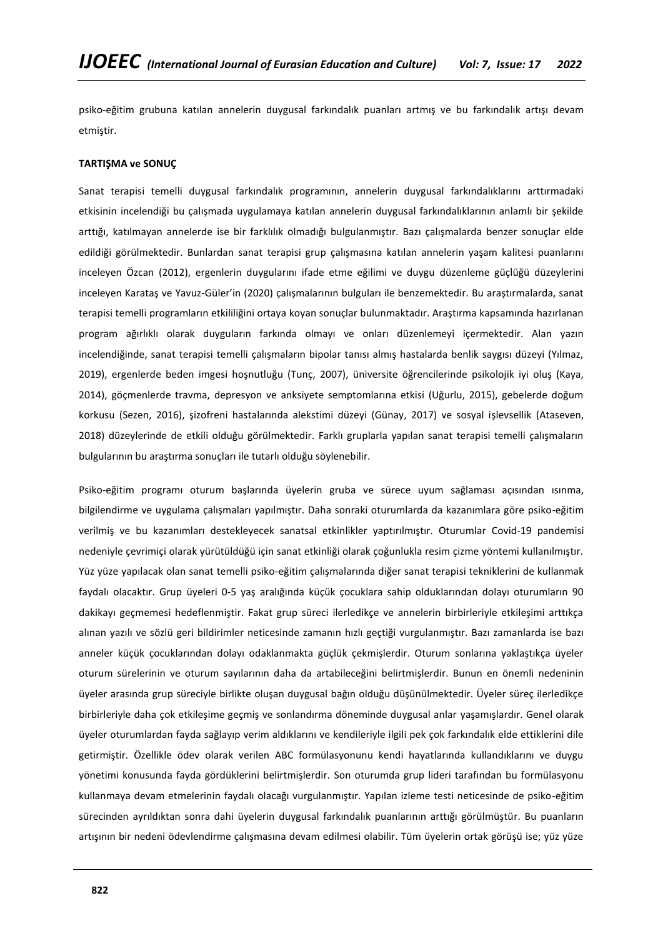psiko-eğitim grubuna katılan annelerin duygusal farkındalık puanları artmış ve bu farkındalık artışı devam etmiştir.

# **TARTIŞMA ve SONUÇ**

Sanat terapisi temelli duygusal farkındalık programının, annelerin duygusal farkındalıklarını arttırmadaki etkisinin incelendiği bu çalışmada uygulamaya katılan annelerin duygusal farkındalıklarının anlamlı bir şekilde arttığı, katılmayan annelerde ise bir farklılık olmadığı bulgulanmıştır. Bazı çalışmalarda benzer sonuçlar elde edildiği görülmektedir. Bunlardan sanat terapisi grup çalışmasına katılan annelerin yaşam kalitesi puanlarını inceleyen Özcan (2012), ergenlerin duygularını ifade etme eğilimi ve duygu düzenleme güçlüğü düzeylerini inceleyen Karataş ve Yavuz-Güler'in (2020) çalışmalarının bulguları ile benzemektedir. Bu araştırmalarda, sanat terapisi temelli programların etkililiğini ortaya koyan sonuçlar bulunmaktadır. Araştırma kapsamında hazırlanan program ağırlıklı olarak duyguların farkında olmayı ve onları düzenlemeyi içermektedir. Alan yazın incelendiğinde, sanat terapisi temelli çalışmaların bipolar tanısı almış hastalarda benlik saygısı düzeyi (Yılmaz, 2019), ergenlerde beden imgesi hoşnutluğu (Tunç, 2007), üniversite öğrencilerinde psikolojik iyi oluş (Kaya, 2014), göçmenlerde travma, depresyon ve anksiyete semptomlarına etkisi (Uğurlu, 2015), gebelerde doğum korkusu (Sezen, 2016), şizofreni hastalarında alekstimi düzeyi (Günay, 2017) ve sosyal işlevsellik (Ataseven, 2018) düzeylerinde de etkili olduğu görülmektedir. Farklı gruplarla yapılan sanat terapisi temelli çalışmaların bulgularının bu araştırma sonuçları ile tutarlı olduğu söylenebilir.

Psiko-eğitim programı oturum başlarında üyelerin gruba ve sürece uyum sağlaması açısından ısınma, bilgilendirme ve uygulama çalışmaları yapılmıştır. Daha sonraki oturumlarda da kazanımlara göre psiko-eğitim verilmiş ve bu kazanımları destekleyecek sanatsal etkinlikler yaptırılmıştır. Oturumlar Covid-19 pandemisi nedeniyle çevrimiçi olarak yürütüldüğü için sanat etkinliği olarak çoğunlukla resim çizme yöntemi kullanılmıştır. Yüz yüze yapılacak olan sanat temelli psiko-eğitim çalışmalarında diğer sanat terapisi tekniklerini de kullanmak faydalı olacaktır. Grup üyeleri 0-5 yaş aralığında küçük çocuklara sahip olduklarından dolayı oturumların 90 dakikayı geçmemesi hedeflenmiştir. Fakat grup süreci ilerledikçe ve annelerin birbirleriyle etkileşimi arttıkça alınan yazılı ve sözlü geri bildirimler neticesinde zamanın hızlı geçtiği vurgulanmıştır. Bazı zamanlarda ise bazı anneler küçük çocuklarından dolayı odaklanmakta güçlük çekmişlerdir. Oturum sonlarına yaklaştıkça üyeler oturum sürelerinin ve oturum sayılarının daha da artabileceğini belirtmişlerdir. Bunun en önemli nedeninin üyeler arasında grup süreciyle birlikte oluşan duygusal bağın olduğu düşünülmektedir. Üyeler süreç ilerledikçe birbirleriyle daha çok etkileşime geçmiş ve sonlandırma döneminde duygusal anlar yaşamışlardır. Genel olarak üyeler oturumlardan fayda sağlayıp verim aldıklarını ve kendileriyle ilgili pek çok farkındalık elde ettiklerini dile getirmiştir. Özellikle ödev olarak verilen ABC formülasyonunu kendi hayatlarında kullandıklarını ve duygu yönetimi konusunda fayda gördüklerini belirtmişlerdir. Son oturumda grup lideri tarafından bu formülasyonu kullanmaya devam etmelerinin faydalı olacağı vurgulanmıştır. Yapılan izleme testi neticesinde de psiko-eğitim sürecinden ayrıldıktan sonra dahi üyelerin duygusal farkındalık puanlarının arttığı görülmüştür. Bu puanların artışının bir nedeni ödevlendirme çalışmasına devam edilmesi olabilir. Tüm üyelerin ortak görüşü ise; yüz yüze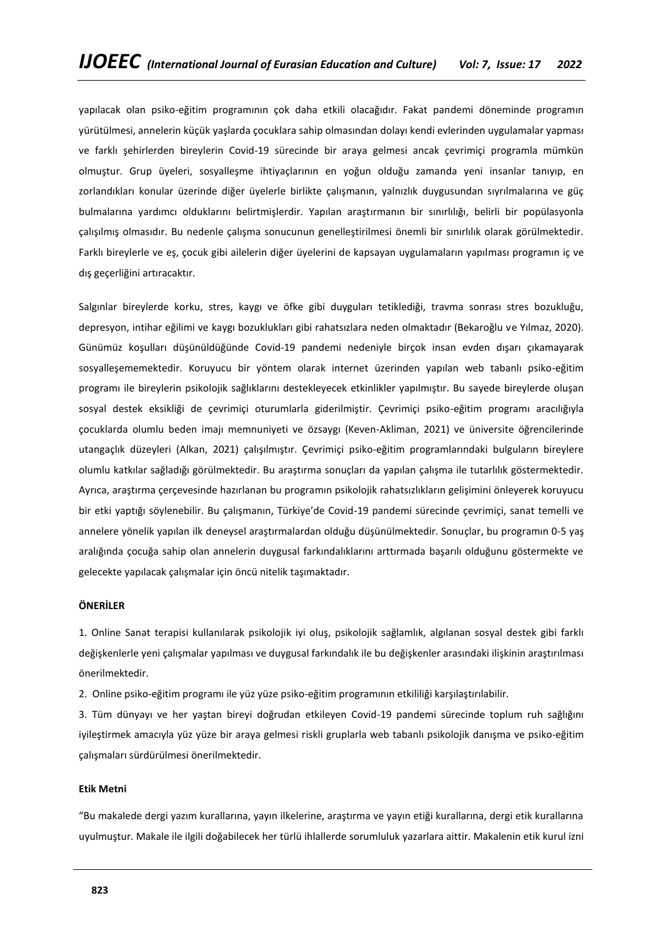yapılacak olan psiko-eğitim programının çok daha etkili olacağıdır. Fakat pandemi döneminde programın yürütülmesi, annelerin küçük yaşlarda çocuklara sahip olmasından dolayı kendi evlerinden uygulamalar yapması ve farklı şehirlerden bireylerin Covid-19 sürecinde bir araya gelmesi ancak çevrimiçi programla mümkün olmuştur. Grup üyeleri, sosyalleşme ihtiyaçlarının en yoğun olduğu zamanda yeni insanlar tanıyıp, en zorlandıkları konular üzerinde diğer üyelerle birlikte çalışmanın, yalnızlık duygusundan sıyrılmalarına ve güç bulmalarına yardımcı olduklarını belirtmişlerdir. Yapılan araştırmanın bir sınırlılığı, belirli bir popülasyonla çalışılmış olmasıdır. Bu nedenle çalışma sonucunun genelleştirilmesi önemli bir sınırlılık olarak görülmektedir. Farklı bireylerle ve eş, çocuk gibi ailelerin diğer üyelerini de kapsayan uygulamaların yapılması programın iç ve dış geçerliğini artıracaktır.

Salgınlar bireylerde korku, stres, kaygı ve öfke gibi duyguları tetiklediği, travma sonrası stres bozukluğu, depresyon, intihar eğilimi ve kaygı bozuklukları gibi rahatsızlara neden olmaktadır (Bekaroğlu ve Yılmaz, 2020). Günümüz koşulları düşünüldüğünde Covid-19 pandemi nedeniyle birçok insan evden dışarı çıkamayarak sosyalleşememektedir. Koruyucu bir yöntem olarak internet üzerinden yapılan web tabanlı psiko-eğitim programı ile bireylerin psikolojik sağlıklarını destekleyecek etkinlikler yapılmıştır. Bu sayede bireylerde oluşan sosyal destek eksikliği de çevrimiçi oturumlarla giderilmiştir. Çevrimiçi psiko-eğitim programı aracılığıyla çocuklarda olumlu beden imajı memnuniyeti ve özsaygı (Keven-Akliman, 2021) ve üniversite öğrencilerinde utangaçlık düzeyleri (Alkan, 2021) çalışılmıştır. Çevrimiçi psiko-eğitim programlarındaki bulguların bireylere olumlu katkılar sağladığı görülmektedir. Bu araştırma sonuçları da yapılan çalışma ile tutarlılık göstermektedir. Ayrıca, araştırma çerçevesinde hazırlanan bu programın psikolojik rahatsızlıkların gelişimini önleyerek koruyucu bir etki yaptığı söylenebilir. Bu çalışmanın, Türkiye'de Covid-19 pandemi sürecinde çevrimiçi, sanat temelli ve annelere yönelik yapılan ilk deneysel araştırmalardan olduğu düşünülmektedir. Sonuçlar, bu programın 0-5 yaş aralığında çocuğa sahip olan annelerin duygusal farkındalıklarını arttırmada başarılı olduğunu göstermekte ve gelecekte yapılacak çalışmalar için öncü nitelik taşımaktadır.

# **ÖNERİLER**

1. Online Sanat terapisi kullanılarak psikolojik iyi oluş, psikolojik sağlamlık, algılanan sosyal destek gibi farklı değişkenlerle yeni çalışmalar yapılması ve duygusal farkındalık ile bu değişkenler arasındaki ilişkinin araştırılması önerilmektedir.

2. Online psiko-eğitim programı ile yüz yüze psiko-eğitim programının etkililiği karşılaştırılabilir.

3. Tüm dünyayı ve her yaştan bireyi doğrudan etkileyen Covid-19 pandemi sürecinde toplum ruh sağlığını iyileştirmek amacıyla yüz yüze bir araya gelmesi riskli gruplarla web tabanlı psikolojik danışma ve psiko-eğitim çalışmaları sürdürülmesi önerilmektedir.

#### **Etik Metni**

"Bu makalede dergi yazım kurallarına, yayın ilkelerine, araştırma ve yayın etiği kurallarına, dergi etik kurallarına uyulmuştur. Makale ile ilgili doğabilecek her türlü ihlallerde sorumluluk yazarlara aittir. Makalenin etik kurul izni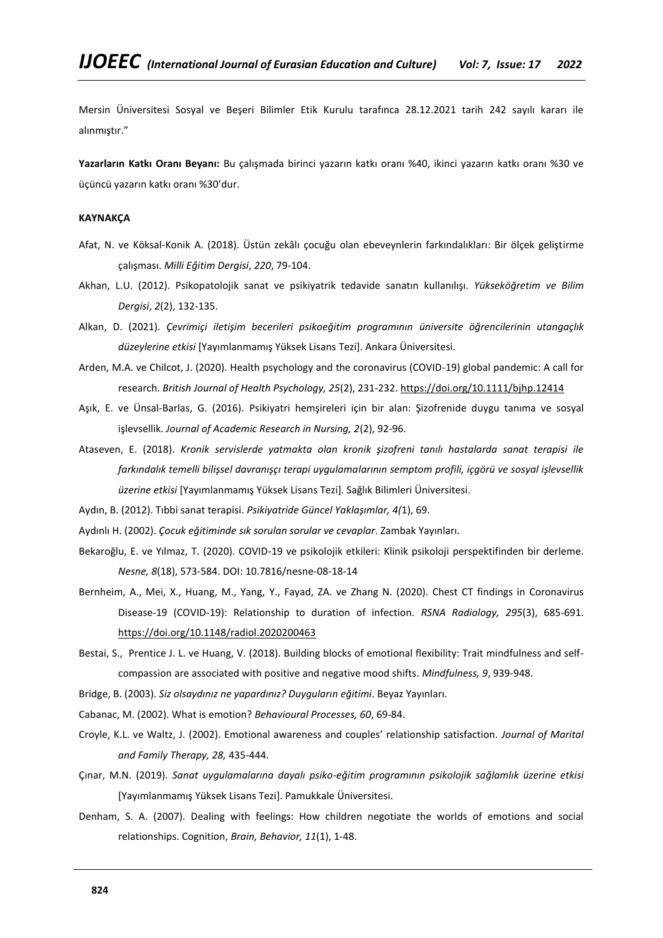Mersin Üniversitesi Sosyal ve Beşeri Bilimler Etik Kurulu tarafınca 28.12.2021 tarih 242 sayılı kararı ile alınmıştır."

**Yazarların Katkı Oranı Beyanı:** Bu çalışmada birinci yazarın katkı oranı %40, ikinci yazarın katkı oranı %30 ve üçüncü yazarın katkı oranı %30'dur.

### **KAYNAKÇA**

- Afat, N. ve Köksal-Konik A. (2018). Üstün zekâlı çocuğu olan ebeveynlerin farkındalıkları: Bir ölçek geliştirme çalışması. *Milli Eğitim Dergisi*, *220*, 79-104.
- Akhan, L.U. (2012). Psikopatolojik sanat ve psikiyatrik tedavide sanatın kullanılışı. *Yükseköğretim ve Bilim Dergisi*, *2*(2), 132-135.
- Alkan, D. (2021). *Çevrimiçi iletişim becerileri psikoeğitim programının üniversite öğrencilerinin utangaçlık düzeylerine etkisi* [Yayımlanmamış Yüksek Lisans Tezi]. Ankara Üniversitesi.
- Arden, M.A. ve Chilcot, J. (2020). Health psychology and the coronavirus (COVID-19) global pandemic: A call for research. *British Journal of Health Psychology, 25*(2), 231-232. <https://doi.org/10.1111/bjhp.12414>
- Aşık, E. ve Ünsal-Barlas, G. (2016). Psikiyatri hemşireleri için bir alan: Şizofrenide duygu tanıma ve sosyal işlevsellik. *Journal of Academic Research in Nursing, 2*(2), 92-96.
- Ataseven, E. (2018). *Kronik servislerde yatmakta olan kronik şizofreni tanılı hastalarda sanat terapisi ile farkındalık temelli bilişsel davranışçı terapi uygulamalarının semptom profili, içgörü ve sosyal işlevsellik üzerine etkisi* [Yayımlanmamış Yüksek Lisans Tezi]. Sağlık Bilimleri Üniversitesi.
- Aydın, B. (2012). Tıbbi sanat terapisi. *Psikiyatride Güncel Yaklaşımlar, 4(*1), 69.
- Aydınlı H. (2002). *Çocuk eğitiminde sık sorulan sorular ve cevaplar*. Zambak Yayınları.
- Bekaroğlu, E. ve Yılmaz, T. (2020). COVID-19 ve psikolojik etkileri: Klinik psikoloji perspektifinden bir derleme. *Nesne, 8*(18), 573-584. DOI: 10.7816/nesne-08-18-14
- Bernheim, A., Mei, X., Huang, M., Yang, Y., Fayad, ZA. ve Zhang N. (2020). Chest CT findings in Coronavirus Disease-19 (COVID-19): Relationship to duration of infection. *RSNA Radiology, 295*(3), 685-691. <https://doi.org/10.1148/radiol.2020200463>
- Bestai, S., Prentice J. L. ve Huang, V. (2018). Building blocks of emotional flexibility: Trait mindfulness and selfcompassion are associated with positive and negative mood shifts. *Mindfulness, 9*, 939-948.
- Bridge, B. (2003). *Siz olsaydınız ne yapardınız? Duyguların eğitimi*. Beyaz Yayınları.
- Cabanac, M. (2002). What is emotion? *Behavioural Processes, 60*, 69-84.
- Croyle, K.L. ve Waltz, J. (2002). Emotional awareness and couples' relationship satisfaction. *Journal of Marital and Family Therapy, 28,* 435-444.
- Çınar, M.N. (2019). *Sanat uygulamalarına dayalı psiko-eğitim programının psikolojik sağlamlık üzerine etkisi* [Yayımlanmamış Yüksek Lisans Tezi]. Pamukkale Üniversitesi.
- Denham, S. A. (2007). Dealing with feelings: How children negotiate the worlds of emotions and social relationships. Cognition, *Brain, Behavior, 11*(1), 1-48.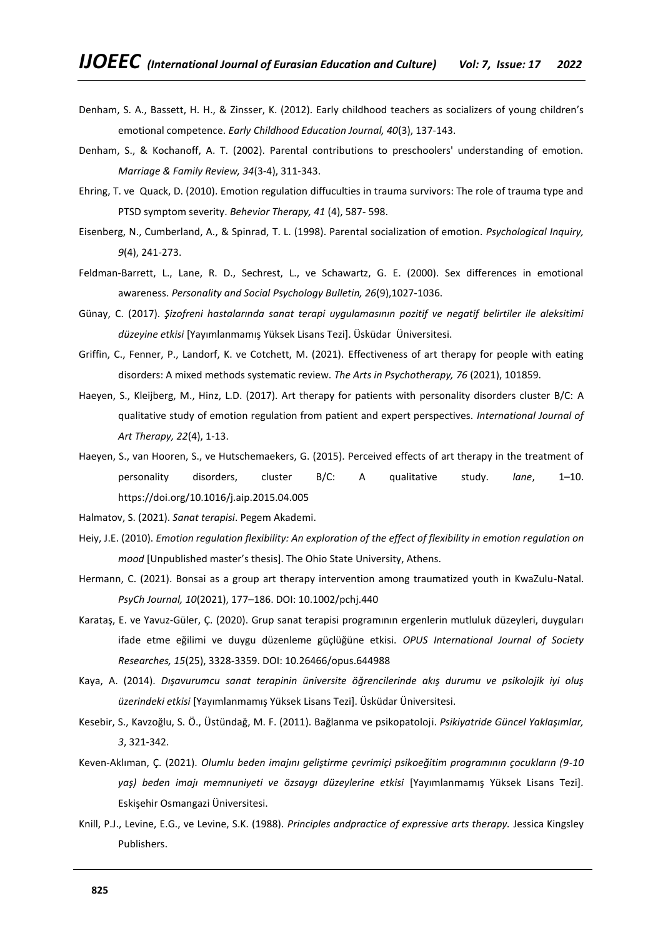- Denham, S. A., Bassett, H. H., & Zinsser, K. (2012). Early childhood teachers as socializers of young children's emotional competence. *Early Childhood Education Journal, 40*(3), 137-143.
- Denham, S., & Kochanoff, A. T. (2002). Parental contributions to preschoolers' understanding of emotion. *Marriage & Family Review, 34*(3-4), 311-343.
- Ehring, T. ve Quack, D. (2010). Emotion regulation diffuculties in trauma survivors: The role of trauma type and PTSD symptom severity. *Behevior Therapy, 41* (4), 587- 598.
- Eisenberg, N., Cumberland, A., & Spinrad, T. L. (1998). Parental socialization of emotion. *Psychological Inquiry, 9*(4), 241-273.
- Feldman-Barrett, L., Lane, R. D., Sechrest, L., ve Schawartz, G. E. (2000). Sex differences in emotional awareness. *Personality and Social Psychology Bulletin, 26*(9),1027-1036.
- Günay, C. (2017). *Şizofreni hastalarında sanat terapi uygulamasının pozitif ve negatif belirtiler ile aleksitimi düzeyine etkisi* [Yayımlanmamış Yüksek Lisans Tezi]. Üsküdar Üniversitesi.
- Griffin, C., Fenner, P., Landorf, K. ve Cotchett, M. (2021). Effectiveness of art therapy for people with eating disorders: A mixed methods systematic review. *The Arts in Psychotherapy, 76* (2021), 101859.
- Haeyen, S., Kleijberg, M., Hinz, L.D. (2017). Art therapy for patients with personality disorders cluster B/C: A qualitative study of emotion regulation from patient and expert perspectives. *International Journal of Art Therapy, 22*(4), 1-13.
- Haeyen, S., van Hooren, S., ve Hutschemaekers, G. (2015). Perceived effects of art therapy in the treatment of personality disorders, cluster B/C: A qualitative study. *lane*, 1–10. https://doi.org/10.1016/j.aip.2015.04.005

Halmatov, S. (2021). *Sanat terapisi*. Pegem Akademi.

- Heiy, J.E. (2010). *Emotion regulation flexibility: An exploration of the effect of flexibility in emotion regulation on mood* [Unpublished master's thesis]. The Ohio State University, Athens.
- Hermann, C. (2021). Bonsai as a group art therapy intervention among traumatized youth in KwaZulu-Natal. *PsyCh Journal, 10*(2021), 177–186. DOI: 10.1002/pchj.440
- Karataş, E. ve Yavuz-Güler, Ç. (2020). Grup sanat terapisi programının ergenlerin mutluluk düzeyleri, duyguları ifade etme eğilimi ve duygu düzenleme güçlüğüne etkisi. *OPUS International Journal of Society Researches, 15*(25), 3328-3359. DOI: 10.26466/opus.644988
- Kaya, A. (2014). *Dışavurumcu sanat terapinin üniversite öğrencilerinde akış durumu ve psikolojik iyi oluş üzerindeki etkisi* [Yayımlanmamış Yüksek Lisans Tezi]. Üsküdar Üniversitesi.
- Kesebir, S., Kavzoğlu, S. Ö., Üstündağ, M. F. (2011). Bağlanma ve psikopatoloji. *Psikiyatride Güncel Yaklaşımlar, 3*, 321-342.
- Keven-Aklıman, Ç. (2021). *Olumlu beden imajını geliştirme çevrimiçi psikoeğitim programının çocukların (9-10 yaş) beden imajı memnuniyeti ve özsaygı düzeylerine etkisi* [Yayımlanmamış Yüksek Lisans Tezi]. Eskişehir Osmangazi Üniversitesi.
- Knill, P.J., Levine, E.G., ve Levine, S.K. (1988). *Principles andpractice of expressive arts therapy.* Jessica Kingsley Publishers.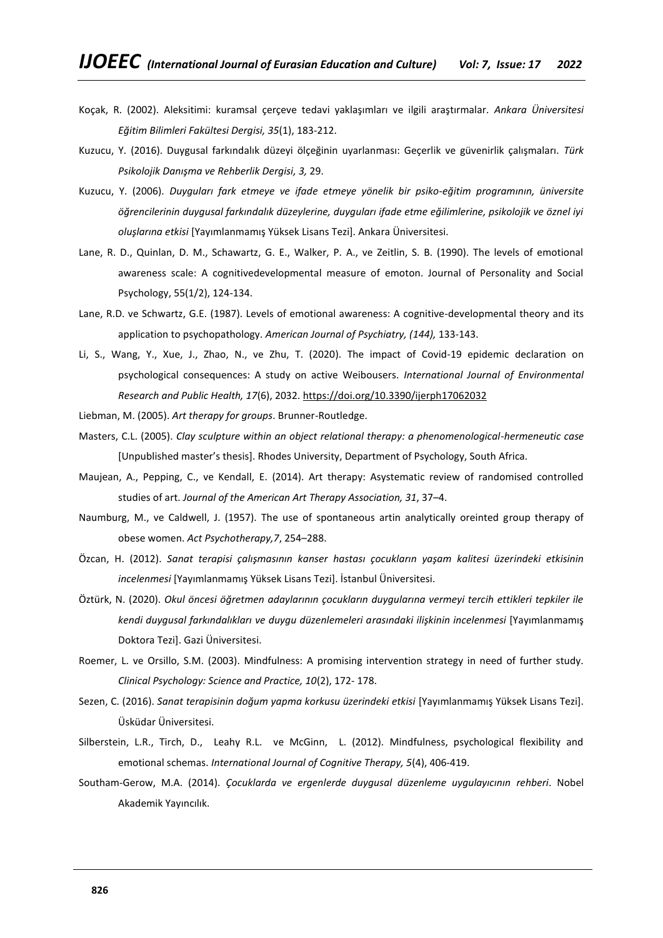- Koçak, R. (2002). Aleksitimi: kuramsal çerçeve tedavi yaklaşımları ve ilgili araştırmalar. *Ankara Üniversitesi Eğitim Bilimleri Fakültesi Dergisi, 35*(1), 183-212.
- Kuzucu, Y. (2016). Duygusal farkındalık düzeyi ölçeğinin uyarlanması: Geçerlik ve güvenirlik çalışmaları. *Türk Psikolojik Danışma ve Rehberlik Dergisi, 3,* 29.
- Kuzucu, Y. (2006). *Duyguları fark etmeye ve ifade etmeye yönelik bir psiko-eğitim programının, üniversite öğrencilerinin duygusal farkındalık düzeylerine, duyguları ifade etme eğilimlerine, psikolojik ve öznel iyi oluşlarına etkisi* [Yayımlanmamış Yüksek Lisans Tezi]. Ankara Üniversitesi.
- Lane, R. D., Quinlan, D. M., Schawartz, G. E., Walker, P. A., ve Zeitlin, S. B. (1990). The levels of emotional awareness scale: A cognitivedevelopmental measure of emoton. Journal of Personality and Social Psychology, 55(1/2), 124-134.
- Lane, R.D. ve Schwartz, G.E. (1987). Levels of emotional awareness: A cognitive-developmental theory and its application to psychopathology. *American Journal of Psychiatry, (144),* 133-143.
- Li, S., Wang, Y., Xue, J., Zhao, N., ve Zhu, T. (2020). The impact of Covid-19 epidemic declaration on psychological consequences: A study on active Weibousers. *International Journal of Environmental Research and Public Health, 17*(6), 2032.<https://doi.org/10.3390/ijerph17062032>
- Liebman, M. (2005). *Art therapy for groups*. Brunner-Routledge.
- Masters, C.L. (2005). *Clay sculpture within an object relational therapy: a phenomenological-hermeneutic case* [Unpublished master's thesis]. Rhodes University, Department of Psychology, South Africa.
- Maujean, A., Pepping, C., ve Kendall, E. (2014). Art therapy: Asystematic review of randomised controlled studies of art. *Journal of the American Art Therapy Association, 31*, 37–4.
- Naumburg, M., ve Caldwell, J. (1957). The use of spontaneous artin analytically oreinted group therapy of obese women. *Act Psychotherapy,7*, 254–288.
- Özcan, H. (2012). *Sanat terapisi çalışmasının kanser hastası çocukların yaşam kalitesi üzerindeki etkisinin incelenmesi* [Yayımlanmamış Yüksek Lisans Tezi]. İstanbul Üniversitesi.
- Öztürk, N. (2020). *Okul öncesi öğretmen adaylarının çocukların duygularına vermeyi tercih ettikleri tepkiler ile kendi duygusal farkındalıkları ve duygu düzenlemeleri arasındaki ilişkinin incelenmesi* [Yayımlanmamış Doktora Tezi]. Gazi Üniversitesi.
- Roemer, L. ve Orsillo, S.M. (2003). Mindfulness: A promising intervention strategy in need of further study. *Clinical Psychology: Science and Practice, 10*(2), 172- 178.
- Sezen, C. (2016). *Sanat terapisinin doğum yapma korkusu üzerindeki etkisi* [Yayımlanmamış Yüksek Lisans Tezi]. Üsküdar Üniversitesi.
- Silberstein, L.R., Tirch, D., Leahy R.L. ve McGinn, L. (2012). Mindfulness, psychological flexibility and emotional schemas. *International Journal of Cognitive Therapy, 5*(4), 406-419.
- Southam-Gerow, M.A. (2014). *Çocuklarda ve ergenlerde duygusal düzenleme uygulayıcının rehberi*. Nobel Akademik Yayıncılık.